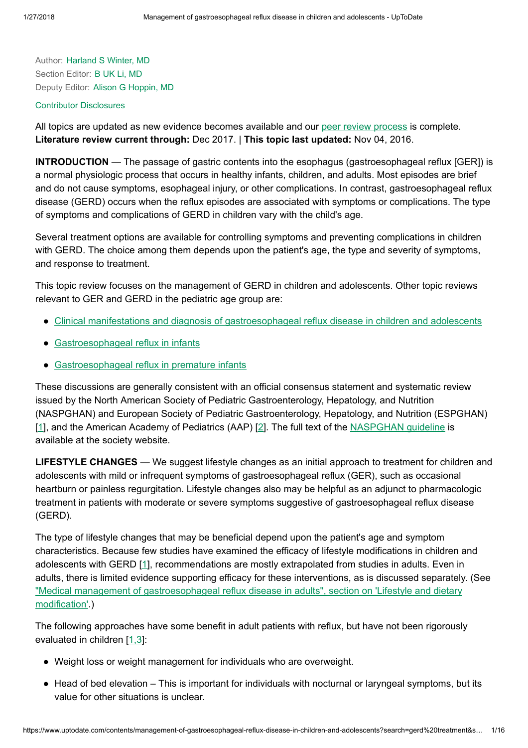Author: [Harland](https://www.uptodate.com/contents/management-of-gastroesophageal-reflux-disease-in-children-and-adolescents/contributors) S Winter, MD Section Editor: B UK Li, [MD](https://www.uptodate.com/contents/management-of-gastroesophageal-reflux-disease-in-children-and-adolescents/contributors) Deputy Editor: Alison G [Hoppin,](https://www.uptodate.com/contents/management-of-gastroesophageal-reflux-disease-in-children-and-adolescents/contributors) MD

### Contributor [Disclosures](https://www.uptodate.com/contents/management-of-gastroesophageal-reflux-disease-in-children-and-adolescents/contributor-disclosure)

All topics are updated as new evidence becomes available and our peer review [process](https://www.uptodate.com/home/editorial-policy) is complete. Literature review current through: Dec 2017. | This topic last updated: Nov 04, 2016.

INTRODUCTION — The passage of gastric contents into the esophagus (gastroesophageal reflux [GER]) is a normal physiologic process that occurs in healthy infants, children, and adults. Most episodes are brief and do not cause symptoms, esophageal injury, or other complications. In contrast, gastroesophageal reflux disease (GERD) occurs when the reflux episodes are associated with symptoms or complications. The type of symptoms and complications of GERD in children vary with the child's age.

Several treatment options are available for controlling symptoms and preventing complications in children with GERD. The choice among them depends upon the patient's age, the type and severity of symptoms, and response to treatment.

This topic review focuses on the management of GERD in children and adolescents. Other topic reviews relevant to GER and GERD in the pediatric age group are:

- Clinical manifestations and diagnosis of [gastroesophageal reflux](https://www.uptodate.com/contents/clinical-manifestations-and-diagnosis-of-gastroesophageal-reflux-disease-in-children-and-adolescents?source=see_link) disease in children and adolescents
- [Gastroesophageal reflux](https://www.uptodate.com/contents/gastroesophageal-reflux-in-infants?source=see_link) in infants
- [Gastroesophageal reflux](https://www.uptodate.com/contents/gastroesophageal-reflux-in-premature-infants?source=see_link) in premature infants

These discussions are generally consistent with an official consensus statement and systematic review issued by the North American Society of Pediatric Gastroenterology, Hepatology, and Nutrition (NASPGHAN) and European Society of Pediatric Gastroenterology, Hepatology, and Nutrition (ESPGHAN) [[1\]](https://www.uptodate.com/contents/management-of-gastroesophageal-reflux-disease-in-children-and-adolescents/abstract/1), and the American Academy of Pediatrics (AAP) [[2\]](https://www.uptodate.com/contents/management-of-gastroesophageal-reflux-disease-in-children-and-adolescents/abstract/2). The full text of the [NASPGHAN](https://www.uptodate.com/external-redirect.do?target_url=http%3A%2F%2Fwww.naspghan.org%2Fuser-assets%2FDocuments%2Fpdf%2FPositionPapers%2FFINAL+-+JPGN+GERD+guideline.pdf&TOPIC_ID=5900) guideline is available at the society website.

LIFESTYLE CHANGES — We suggest lifestyle changes as an initial approach to treatment for children and adolescents with mild or infrequent symptoms of gastroesophageal reflux (GER), such as occasional heartburn or painless regurgitation. Lifestyle changes also may be helpful as an adjunct to pharmacologic treatment in patients with moderate or severe symptoms suggestive of gastroesophageal reflux disease (GERD).

The type of lifestyle changes that may be beneficial depend upon the patient's age and symptom characteristics. Because few studies have examined the efficacy of lifestyle modifications in children and adolescents with GERD [[1\]](https://www.uptodate.com/contents/management-of-gastroesophageal-reflux-disease-in-children-and-adolescents/abstract/1), recommendations are mostly extrapolated from studies in adults. Even in adults, there is limited evidence supporting efficacy for these interventions, as is discussed separately. (See "Medical management of [gastroesophageal reflux](https://www.uptodate.com/contents/medical-management-of-gastroesophageal-reflux-disease-in-adults?sectionName=Lifestyle+and+dietary+modification&anchor=H2&source=see_link#H2) disease in adults", section on 'Lifestyle and dietary modification'.)

The following approaches have some benefit in adult patients with reflux, but have not been rigorously evaluated in children [[1,3\]](https://www.uptodate.com/contents/management-of-gastroesophageal-reflux-disease-in-children-and-adolescents/abstract/1,3):

- Weight loss or weight management for individuals who are overweight.
- Head of bed elevation This is important for individuals with nocturnal or laryngeal symptoms, but its value for other situations is unclear.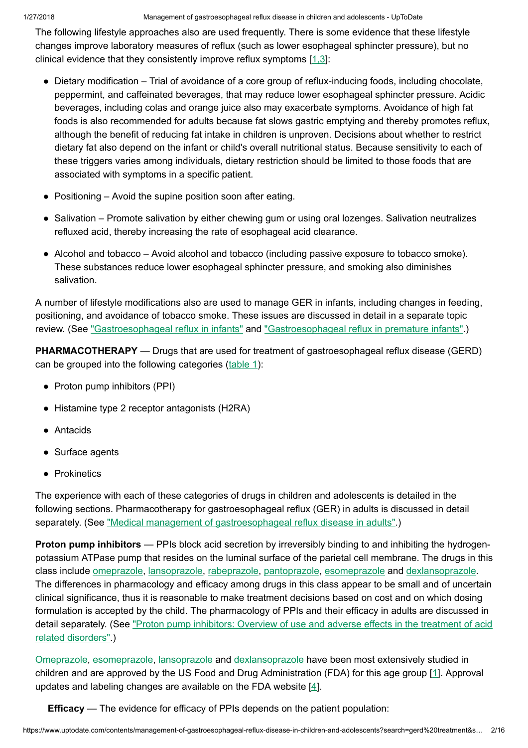The following lifestyle approaches also are used frequently. There is some evidence that these lifestyle changes improve laboratory measures of reflux (such as lower esophageal sphincter pressure), but no clinical evidence that they consistently improve reflux symptoms [[1,3\]](https://www.uptodate.com/contents/management-of-gastroesophageal-reflux-disease-in-children-and-adolescents/abstract/1,3):

- Dietary modification Trial of avoidance of a core group of reflux-inducing foods, including chocolate, peppermint, and caffeinated beverages, that may reduce lower esophageal sphincter pressure. Acidic beverages, including colas and orange juice also may exacerbate symptoms. Avoidance of high fat foods is also recommended for adults because fat slows gastric emptying and thereby promotes reflux, although the benefit of reducing fat intake in children is unproven. Decisions about whether to restrict dietary fat also depend on the infant or child's overall nutritional status. Because sensitivity to each of these triggers varies among individuals, dietary restriction should be limited to those foods that are associated with symptoms in a specific patient.
- Positioning Avoid the supine position soon after eating.
- Salivation Promote salivation by either chewing gum or using oral lozenges. Salivation neutralizes refluxed acid, thereby increasing the rate of esophageal acid clearance.
- Alcohol and tobacco Avoid alcohol and tobacco (including passive exposure to tobacco smoke). These substances reduce lower esophageal sphincter pressure, and smoking also diminishes salivation.

A number of lifestyle modifications also are used to manage GER in infants, including changes in feeding, positioning, and avoidance of tobacco smoke. These issues are discussed in detail in a separate topic review. (See ["Gastroesophageal reflux](https://www.uptodate.com/contents/gastroesophageal-reflux-in-premature-infants?source=see_link) in infants" and "Gastroesophageal reflux in premature infants".)

**PHARMACOTHERAPY** — Drugs that are used for treatment of gastroesophageal reflux disease (GERD) can be grouped into the following categories ([table](https://www.uptodate.com/contents/image?imageKey=PEDS%2F55435&topicKey=PEDS%2F5900&search=gerd+treatment&rank=1%7E150&source=see_link) 1):

- Proton pump inhibitors (PPI)
- Histamine type 2 receptor antagonists (H2RA)
- Antacids
- Surface agents
- Prokinetics

The experience with each of these categories of drugs in children and adolescents is detailed in the following sections. Pharmacotherapy for gastroesophageal reflux (GER) in adults is discussed in detail separately. (See "Medical management of [gastroesophageal reflux](https://www.uptodate.com/contents/medical-management-of-gastroesophageal-reflux-disease-in-adults?source=see_link) disease in adults".)

**Proton pump inhibitors** — PPIs block acid secretion by irreversibly binding to and inhibiting the hydrogenpotassium ATPase pump that resides on the luminal surface of the parietal cell membrane. The drugs in this class include [omeprazole](https://www.uptodate.com/contents/omeprazole-pediatric-drug-information?source=see_link), [lansoprazole,](https://www.uptodate.com/contents/lansoprazole-pediatric-drug-information?source=see_link) [rabeprazole,](https://www.uptodate.com/contents/rabeprazole-pediatric-drug-information?source=see_link) [pantoprazole,](https://www.uptodate.com/contents/pantoprazole-pediatric-drug-information?source=see_link) [esomeprazole](https://www.uptodate.com/contents/esomeprazole-pediatric-drug-information?source=see_link) and [dexlansoprazole](https://www.uptodate.com/contents/dexlansoprazole-drug-information?source=see_link). The differences in pharmacology and efficacy among drugs in this class appear to be small and of uncertain clinical significance, thus it is reasonable to make treatment decisions based on cost and on which dosing formulation is accepted by the child. The pharmacology of PPIs and their efficacy in adults are discussed in [detail separately.](https://www.uptodate.com/contents/proton-pump-inhibitors-overview-of-use-and-adverse-effects-in-the-treatment-of-acid-related-disorders?source=see_link) (See "Proton pump inhibitors: Overview of use and adverse effects in the treatment of acid related disorders".)

[Omeprazole,](https://www.uptodate.com/contents/omeprazole-pediatric-drug-information?source=see_link) [esomeprazole](https://www.uptodate.com/contents/esomeprazole-pediatric-drug-information?source=see_link), [lansoprazole](https://www.uptodate.com/contents/lansoprazole-pediatric-drug-information?source=see_link) and [dexlansoprazole](https://www.uptodate.com/contents/dexlansoprazole-drug-information?source=see_link) have been most extensively studied in children and are approved by the US Food and Drug Administration (FDA) for this age group [\[1](https://www.uptodate.com/contents/management-of-gastroesophageal-reflux-disease-in-children-and-adolescents/abstract/1)]. Approval updates and labeling changes are available on the FDA website  $[4]$  $[4]$ .

Efficacy — The evidence for efficacy of PPIs depends on the patient population: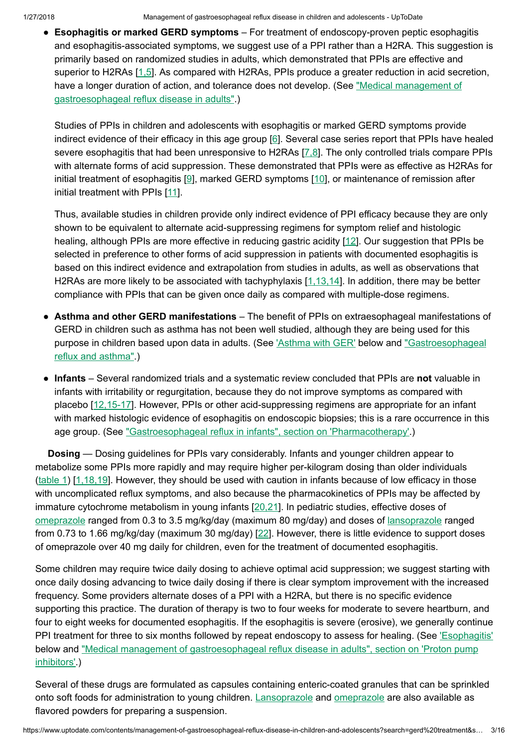1/27/2018 Management of gastroesophageal reflux disease in children and adolescents - UpToDate

• Esophagitis or marked GERD symptoms – For treatment of endoscopy-proven peptic esophagitis and esophagitis-associated symptoms, we suggest use of a PPI rather than a H2RA. This suggestion is primarily based on randomized studies in adults, which demonstrated that PPIs are effective and superior to H2RAs [[1,5\]](https://www.uptodate.com/contents/management-of-gastroesophageal-reflux-disease-in-children-and-adolescents/abstract/1,5). As compared with H2RAs, PPIs produce a greater reduction in acid secretion, have a longer duration of action, and tolerance does not develop. (See "Medical management of [gastroesophageal reflux](https://www.uptodate.com/contents/medical-management-of-gastroesophageal-reflux-disease-in-adults?source=see_link) disease in adults".)

Studies of PPIs in children and adolescents with esophagitis or marked GERD symptoms provide indirect evidence of their efficacy in this age group [[6\]](https://www.uptodate.com/contents/management-of-gastroesophageal-reflux-disease-in-children-and-adolescents/abstract/6). Several case series report that PPIs have healed severe esophagitis that had been unresponsive to H2RAs [\[7,8](https://www.uptodate.com/contents/management-of-gastroesophageal-reflux-disease-in-children-and-adolescents/abstract/7,8)]. The only controlled trials compare PPIs with alternate forms of acid suppression. These demonstrated that PPIs were as effective as H2RAs for initial treatment of esophagitis [[9\]](https://www.uptodate.com/contents/management-of-gastroesophageal-reflux-disease-in-children-and-adolescents/abstract/9), marked GERD symptoms [[10\]](https://www.uptodate.com/contents/management-of-gastroesophageal-reflux-disease-in-children-and-adolescents/abstract/10), or maintenance of remission after initial treatment with PPIs [[11\]](https://www.uptodate.com/contents/management-of-gastroesophageal-reflux-disease-in-children-and-adolescents/abstract/11).

Thus, available studies in children provide only indirect evidence of PPI efficacy because they are only shown to be equivalent to alternate acid-suppressing regimens for symptom relief and histologic healing, although PPIs are more effective in reducing gastric acidity [\[12](https://www.uptodate.com/contents/management-of-gastroesophageal-reflux-disease-in-children-and-adolescents/abstract/12)]. Our suggestion that PPIs be selected in preference to other forms of acid suppression in patients with documented esophagitis is based on this indirect evidence and extrapolation from studies in adults, as well as observations that H2RAs are more likely to be associated with tachyphylaxis [\[1,13,14](https://www.uptodate.com/contents/management-of-gastroesophageal-reflux-disease-in-children-and-adolescents/abstract/1,13,14)]. In addition, there may be better compliance with PPIs that can be given once daily as compared with multiple-dose regimens.

- Asthma and other GERD manifestations The benefit of PPIs on extraesophageal manifestations of GERD in children such as asthma has not been well studied, although they are being used for this purpose in children based upon data in adults. (See ['Asthma](https://www.uptodate.com/contents/management-of-gastroesophageal-reflux-disease-in-children-and-adolescents?search=gerd%20treatment&source=search_result&selectedTitle=1~150&usage_type=default&display_rank=1#H18) with GER' below and ["Gastroesophageal](https://www.uptodate.com/contents/gastroesophageal-reflux-and-asthma?source=see_link) reflux and asthma".)
- Infants Several randomized trials and a systematic review concluded that PPIs are not valuable in infants with irritability or regurgitation, because they do not improve symptoms as compared with placebo [[12,15-17\]](https://www.uptodate.com/contents/management-of-gastroesophageal-reflux-disease-in-children-and-adolescents/abstract/12,15-17). However, PPIs or other acid-suppressing regimens are appropriate for an infant with marked histologic evidence of esophagitis on endoscopic biopsies; this is a rare occurrence in this age group. (See ["Gastroesophageal reflux](https://www.uptodate.com/contents/gastroesophageal-reflux-in-infants?sectionName=Pharmacotherapy&anchor=H25&source=see_link#H25) in infants", section on 'Pharmacotherapy'.)

Dosing — Dosing guidelines for PPIs vary considerably. Infants and younger children appear to metabolize some PPIs more rapidly and may require higher per-kilogram dosing than older individuals [\(table](https://www.uptodate.com/contents/image?imageKey=PEDS%2F55435&topicKey=PEDS%2F5900&search=gerd+treatment&rank=1%7E150&source=see_link) 1) [\[1,18,19](https://www.uptodate.com/contents/management-of-gastroesophageal-reflux-disease-in-children-and-adolescents/abstract/1,18,19)]. However, they should be used with caution in infants because of low efficacy in those with uncomplicated reflux symptoms, and also because the pharmacokinetics of PPIs may be affected by immature cytochrome metabolism in young infants [\[20,21](https://www.uptodate.com/contents/management-of-gastroesophageal-reflux-disease-in-children-and-adolescents/abstract/20,21)]. In pediatric studies, effective doses of [omeprazole](https://www.uptodate.com/contents/omeprazole-pediatric-drug-information?source=see_link) ranged from 0.3 to 3.5 mg/kg/day (maximum 80 mg/day) and doses of [lansoprazole](https://www.uptodate.com/contents/lansoprazole-pediatric-drug-information?source=see_link) ranged from 0.73 to 1.66 mg/kg/day (maximum 30 mg/day) [[22\]](https://www.uptodate.com/contents/management-of-gastroesophageal-reflux-disease-in-children-and-adolescents/abstract/22). However, there is little evidence to support doses of omeprazole over 40 mg daily for children, even for the treatment of documented esophagitis.

Some children may require twice daily dosing to achieve optimal acid suppression; we suggest starting with once daily dosing advancing to twice daily dosing if there is clear symptom improvement with the increased frequency. Some providers alternate doses of a PPI with a H2RA, but there is no specific evidence supporting this practice. The duration of therapy is two to four weeks for moderate to severe heartburn, and four to eight weeks for documented esophagitis. If the esophagitis is severe (erosive), we generally continue PPI treatment for three to six months followed by repeat endoscopy to assess for healing. (See ['Esophagitis'](https://www.uptodate.com/contents/management-of-gastroesophageal-reflux-disease-in-children-and-adolescents?search=gerd%20treatment&source=search_result&selectedTitle=1~150&usage_type=default&display_rank=1#H409327) below and "Medical management of [gastroesophageal reflux](https://www.uptodate.com/contents/medical-management-of-gastroesophageal-reflux-disease-in-adults?sectionName=Proton+pump+inhibitors&anchor=H102009998&source=see_link#H102009998) disease in adults", section on 'Proton pump inhibitors'.)

Several of these drugs are formulated as capsules containing enteric-coated granules that can be sprinkled onto soft foods for administration to young children. [Lansoprazole](https://www.uptodate.com/contents/lansoprazole-pediatric-drug-information?source=see_link) and [omeprazole](https://www.uptodate.com/contents/omeprazole-pediatric-drug-information?source=see_link) are also available as flavored powders for preparing a suspension.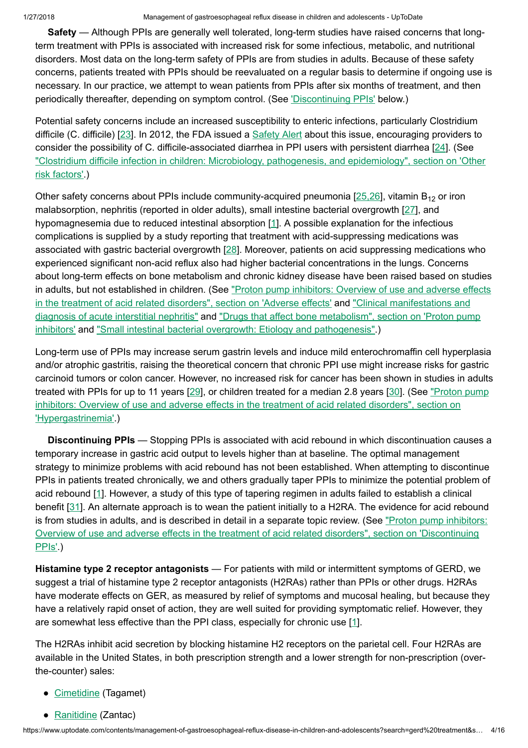Safety — Although PPIs are generally well tolerated, long-term studies have raised concerns that longterm treatment with PPIs is associated with increased risk for some infectious, metabolic, and nutritional disorders. Most data on the long-term safety of PPIs are from studies in adults. Because of these safety concerns, patients treated with PPIs should be reevaluated on a regular basis to determine if ongoing use is necessary. In our practice, we attempt to wean patients from PPIs after six months of treatment, and then periodically thereafter, depending on symptom control. (See *['Discontinuing](https://www.uptodate.com/contents/management-of-gastroesophageal-reflux-disease-in-children-and-adolescents?search=gerd%20treatment&source=search_result&selectedTitle=1~150&usage_type=default&display_rank=1#H406045) PPIs'* below.)

Potential safety concerns include an increased susceptibility to enteric infections, particularly Clostridium difficile (C. difficile) [[23\]](https://www.uptodate.com/contents/management-of-gastroesophageal-reflux-disease-in-children-and-adolescents/abstract/23). In 2012, the FDA issued a [Safety](https://www.uptodate.com/external-redirect.do?target_url=http%3A%2F%2Fwayback.archive-it.org%2F7993%2F20170112164921%2Fhttp%3A%2F%2Fwww.fda.gov%2FSafety%2FMedWatch%2FSafetyInformation%2FSafetyAlertsforHumanMedicalProducts%2Fucm290838.htm&TOPIC_ID=5900) Alert about this issue, encouraging providers to consider the possibility of C. difficile-associated diarrhea in PPI users with persistent diarrhea [\[24](https://www.uptodate.com/contents/management-of-gastroesophageal-reflux-disease-in-children-and-adolescents/abstract/24)]. (See "Clostridium difficile infection in children: Microbiology, pathogenesis, and [epidemiology",](https://www.uptodate.com/contents/clostridium-difficile-infection-in-children-microbiology-pathogenesis-and-epidemiology?sectionName=Other+risk+factors&anchor=H15&source=see_link#H15) section on 'Other risk factors'.)

Other safety concerns about PPIs include community-acquired pneumonia  $[25.26]$ , vitamin B<sub>12</sub> or iron malabsorption, nephritis (reported in older adults), small intestine bacterial overgrowth [[27](https://www.uptodate.com/contents/management-of-gastroesophageal-reflux-disease-in-children-and-adolescents/abstract/27)], and hypomagnesemia due to reduced intestinal absorption [\[1](https://www.uptodate.com/contents/management-of-gastroesophageal-reflux-disease-in-children-and-adolescents/abstract/1)]. A possible explanation for the infectious complications is supplied by a study reporting that treatment with acid-suppressing medications was associated with gastric bacterial overgrowth [[28\]](https://www.uptodate.com/contents/management-of-gastroesophageal-reflux-disease-in-children-and-adolescents/abstract/28). Moreover, patients on acid suppressing medications who experienced significant non-acid reflux also had higher bacterial concentrations in the lungs. Concerns about long-term effects on bone metabolism and chronic kidney disease have been raised based on studies in adults, but not established in children. (See "Proton pump inhibitors: Overview of use and adverse effects in the treatment of acid related disorders", section on 'Adverse effects' and ["Clinical manifestations](https://www.uptodate.com/contents/proton-pump-inhibitors-overview-of-use-and-adverse-effects-in-the-treatment-of-acid-related-disorders?sectionName=ADVERSE+EFFECTS&anchor=H59974871&source=see_link#H59974871) and diagnosis of acute interstitial nephritis" and "Drugs that affect bone metabolism", section on 'Proton pump inhibitors' and ["Small intestinal bacterial overgrowth:](https://www.uptodate.com/contents/drugs-that-affect-bone-metabolism?sectionName=Proton+pump+inhibitors&anchor=H16&source=see_link#H16) Etiology and pathogenesis".)

Long-term use of PPIs may increase serum gastrin levels and induce mild enterochromaffin cell hyperplasia and/or atrophic gastritis, raising the theoretical concern that chronic PPI use might increase risks for gastric carcinoid tumors or colon cancer. However, no increased risk for cancer has been shown in studies in adults treated with PPIs for up to 11 years [[29\]](https://www.uptodate.com/contents/management-of-gastroesophageal-reflux-disease-in-children-and-adolescents/abstract/29), or children treated for a median 2.8 years [[30\]](https://www.uptodate.com/contents/management-of-gastroesophageal-reflux-disease-in-children-and-adolescents/abstract/30). (See "Proton pump inhibitors: Overview of use and adverse effects in the treatment of acid related disorders", section on ['Hypergastrinemia'.\)](https://www.uptodate.com/contents/proton-pump-inhibitors-overview-of-use-and-adverse-effects-in-the-treatment-of-acid-related-disorders?sectionName=Hypergastrinemia&anchor=H59974965&source=see_link#H59974965)

Discontinuing PPIs - Stopping PPIs is associated with acid rebound in which discontinuation causes a temporary increase in gastric acid output to levels higher than at baseline. The optimal management strategy to minimize problems with acid rebound has not been established. When attempting to discontinue PPIs in patients treated chronically, we and others gradually taper PPIs to minimize the potential problem of acid rebound [[1\]](https://www.uptodate.com/contents/management-of-gastroesophageal-reflux-disease-in-children-and-adolescents/abstract/1). However, a study of this type of tapering regimen in adults failed to establish a clinical benefit [[31\]](https://www.uptodate.com/contents/management-of-gastroesophageal-reflux-disease-in-children-and-adolescents/abstract/31). An alternate approach is to wean the patient initially to a H2RA. The evidence for acid rebound is from studies in adults, and is described in detail in a separate topic review. (See "Proton pump inhibitors: Overview of use and adverse effects in the treatment of acid related disorders", section on ['Discontinuing](https://www.uptodate.com/contents/proton-pump-inhibitors-overview-of-use-and-adverse-effects-in-the-treatment-of-acid-related-disorders?sectionName=Discontinuing+PPIs&anchor=H1150172641&source=see_link#H1150172641) PPIs'.)

Histamine type 2 receptor antagonists — For patients with mild or intermittent symptoms of GERD, we suggest a trial of histamine type 2 receptor antagonists (H2RAs) rather than PPIs or other drugs. H2RAs have moderate effects on GER, as measured by relief of symptoms and mucosal healing, but because they have a relatively rapid onset of action, they are well suited for providing symptomatic relief. However, they are somewhat less effective than the PPI class, especially for chronic use [[1\]](https://www.uptodate.com/contents/management-of-gastroesophageal-reflux-disease-in-children-and-adolescents/abstract/1).

The H2RAs inhibit acid secretion by blocking histamine H2 receptors on the parietal cell. Four H2RAs are available in the United States, in both prescription strength and a lower strength for non-prescription (overthe-counter) sales:

- [Cimetidine](https://www.uptodate.com/contents/cimetidine-pediatric-drug-information?source=see_link) (Tagamet)
- [Ranitidine](https://www.uptodate.com/contents/ranitidine-pediatric-drug-information?source=see_link) (Zantac)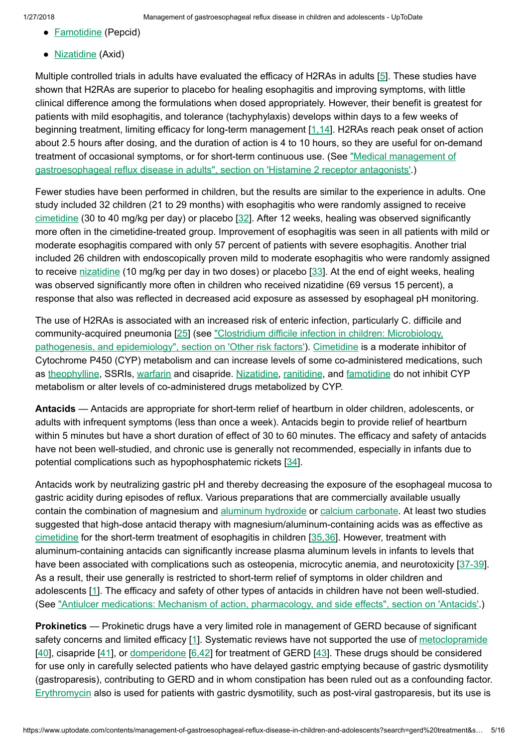- **[Famotidine](https://www.uptodate.com/contents/famotidine-pediatric-drug-information?source=see_link)** (Pepcid)
- [Nizatidine](https://www.uptodate.com/contents/nizatidine-pediatric-drug-information?source=see_link) (Axid)

Multiple controlled trials in adults have evaluated the efficacy of H2RAs in adults [\[5](https://www.uptodate.com/contents/management-of-gastroesophageal-reflux-disease-in-children-and-adolescents/abstract/5)]. These studies have shown that H2RAs are superior to placebo for healing esophagitis and improving symptoms, with little clinical difference among the formulations when dosed appropriately. However, their benefit is greatest for patients with mild esophagitis, and tolerance (tachyphylaxis) develops within days to a few weeks of beginning treatment, limiting efficacy for long-term management [[1,14\]](https://www.uptodate.com/contents/management-of-gastroesophageal-reflux-disease-in-children-and-adolescents/abstract/1,14). H2RAs reach peak onset of action about 2.5 hours after dosing, and the duration of action is 4 to 10 hours, so they are useful for on-demand treatment of occasional symptoms, or for short-term continuous use. (See "Medical management of [gastroesophageal reflux](https://www.uptodate.com/contents/medical-management-of-gastroesophageal-reflux-disease-in-adults?sectionName=Histamine+2+receptor+antagonists&anchor=H102013888&source=see_link#H102013888) disease in adults", section on 'Histamine 2 receptor antagonists'.)

Fewer studies have been performed in children, but the results are similar to the experience in adults. One study included 32 children (21 to 29 months) with esophagitis who were randomly assigned to receive [cimetidine](https://www.uptodate.com/contents/cimetidine-pediatric-drug-information?source=see_link) (30 to 40 mg/kg per day) or placebo [\[32](https://www.uptodate.com/contents/management-of-gastroesophageal-reflux-disease-in-children-and-adolescents/abstract/32)]. After 12 weeks, healing was observed significantly more often in the cimetidine-treated group. Improvement of esophagitis was seen in all patients with mild or moderate esophagitis compared with only 57 percent of patients with severe esophagitis. Another trial included 26 children with endoscopically proven mild to moderate esophagitis who were randomly assigned to receive [nizatidine](https://www.uptodate.com/contents/nizatidine-pediatric-drug-information?source=see_link) (10 mg/kg per day in two doses) or placebo [[33\]](https://www.uptodate.com/contents/management-of-gastroesophageal-reflux-disease-in-children-and-adolescents/abstract/33). At the end of eight weeks, healing was observed significantly more often in children who received nizatidine (69 versus 15 percent), a response that also was reflected in decreased acid exposure as assessed by esophageal pH monitoring.

The use of H2RAs is associated with an increased risk of enteric infection, particularly C. difficile and [community-acquired](https://www.uptodate.com/contents/clostridium-difficile-infection-in-children-microbiology-pathogenesis-and-epidemiology?sectionName=Other+risk+factors&anchor=H15&source=see_link#H15) pneumonia [\[25](https://www.uptodate.com/contents/management-of-gastroesophageal-reflux-disease-in-children-and-adolescents/abstract/25)] (see "Clostridium difficile infection in children: Microbiology, pathogenesis, and epidemiology", section on 'Other risk factors'). [Cimetidine](https://www.uptodate.com/contents/cimetidine-pediatric-drug-information?source=see_link) is a moderate inhibitor of Cytochrome P450 (CYP) metabolism and can increase levels of some co-administered medications, such as [theophylline,](https://www.uptodate.com/contents/theophylline-pediatric-drug-information?source=see_link) SSRIs, [warfarin](https://www.uptodate.com/contents/warfarin-pediatric-drug-information?source=see_link) and cisapride. [Nizatidine](https://www.uptodate.com/contents/nizatidine-pediatric-drug-information?source=see_link), [ranitidine,](https://www.uptodate.com/contents/ranitidine-pediatric-drug-information?source=see_link) and [famotidine](https://www.uptodate.com/contents/famotidine-pediatric-drug-information?source=see_link) do not inhibit CYP metabolism or alter levels of co-administered drugs metabolized by CYP.

Antacids — Antacids are appropriate for short-term relief of heartburn in older children, adolescents, or adults with infrequent symptoms (less than once a week). Antacids begin to provide relief of heartburn within 5 minutes but have a short duration of effect of 30 to 60 minutes. The efficacy and safety of antacids have not been well-studied, and chronic use is generally not recommended, especially in infants due to potential complications such as hypophosphatemic rickets [\[34](https://www.uptodate.com/contents/management-of-gastroesophageal-reflux-disease-in-children-and-adolescents/abstract/34)].

Antacids work by neutralizing gastric pH and thereby decreasing the exposure of the esophageal mucosa to gastric acidity during episodes of reflux. Various preparations that are commercially available usually contain the combination of magnesium and aluminum [hydroxide](https://www.uptodate.com/contents/aluminum-hydroxide-pediatric-drug-information?source=see_link) or calcium [carbonate](https://www.uptodate.com/contents/calcium-carbonate-pediatric-drug-information?source=see_link). At least two studies suggested that high-dose antacid therapy with magnesium/aluminum-containing acids was as effective as [cimetidine](https://www.uptodate.com/contents/cimetidine-pediatric-drug-information?source=see_link) for the short-term treatment of esophagitis in children [[35,36\]](https://www.uptodate.com/contents/management-of-gastroesophageal-reflux-disease-in-children-and-adolescents/abstract/35,36). However, treatment with aluminum-containing antacids can significantly increase plasma aluminum levels in infants to levels that have been associated with complications such as osteopenia, microcytic anemia, and neurotoxicity [[37-39](https://www.uptodate.com/contents/management-of-gastroesophageal-reflux-disease-in-children-and-adolescents/abstract/37-39)]. As a result, their use generally is restricted to short-term relief of symptoms in older children and adolescents [\[1](https://www.uptodate.com/contents/management-of-gastroesophageal-reflux-disease-in-children-and-adolescents/abstract/1)]. The efficacy and safety of other types of antacids in children have not been well-studied. (See "Antiulcer medications: Mechanism of action, [pharmacology,](https://www.uptodate.com/contents/antiulcer-medications-mechanism-of-action-pharmacology-and-side-effects?sectionName=ANTACIDS&anchor=H16&source=see_link#H16) and side effects", section on 'Antacids'.)

Prokinetics — Prokinetic drugs have a very limited role in management of GERD because of significant safety concerns and limited efficacy [\[1](https://www.uptodate.com/contents/management-of-gastroesophageal-reflux-disease-in-children-and-adolescents/abstract/1)]. Systematic reviews have not supported the use of [metoclopramide](https://www.uptodate.com/contents/metoclopramide-pediatric-drug-information?source=see_link) [[40\]](https://www.uptodate.com/contents/management-of-gastroesophageal-reflux-disease-in-children-and-adolescents/abstract/40), cisapride [\[41](https://www.uptodate.com/contents/management-of-gastroesophageal-reflux-disease-in-children-and-adolescents/abstract/41)], or [domperidone](https://www.uptodate.com/contents/domperidone-united-states-available-via-fda-investigational-drug-ind-protocol-only-drug-information?source=see_link) [[6,42\]](https://www.uptodate.com/contents/management-of-gastroesophageal-reflux-disease-in-children-and-adolescents/abstract/6,42) for treatment of GERD [\[43](https://www.uptodate.com/contents/management-of-gastroesophageal-reflux-disease-in-children-and-adolescents/abstract/43)]. These drugs should be considered for use only in carefully selected patients who have delayed gastric emptying because of gastric dysmotility (gastroparesis), contributing to GERD and in whom constipation has been ruled out as a confounding factor. [Erythromycin](https://www.uptodate.com/contents/erythromycin-pediatric-drug-information?source=see_link) also is used for patients with gastric dysmotility, such as post-viral gastroparesis, but its use is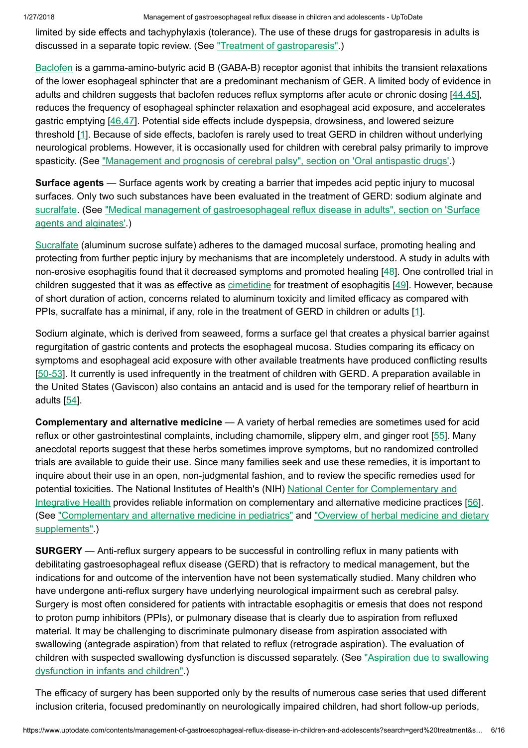1/27/2018 Management of gastroesophageal reflux disease in children and adolescents - UpToDate

limited by side effects and tachyphylaxis (tolerance). The use of these drugs for gastroparesis in adults is discussed in a separate topic review. (See "Treatment of [gastroparesis".](https://www.uptodate.com/contents/treatment-of-gastroparesis?source=see_link))

[Baclofen](https://www.uptodate.com/contents/baclofen-pediatric-drug-information?source=see_link) is a gamma-amino-butyric acid B (GABA-B) receptor agonist that inhibits the transient relaxations of the lower esophageal sphincter that are a predominant mechanism of GER. A limited body of evidence in adults and children suggests that baclofen reduces reflux symptoms after acute or chronic dosing [\[44,45](https://www.uptodate.com/contents/management-of-gastroesophageal-reflux-disease-in-children-and-adolescents/abstract/44,45)], reduces the frequency of esophageal sphincter relaxation and esophageal acid exposure, and accelerates gastric emptying [\[46,47](https://www.uptodate.com/contents/management-of-gastroesophageal-reflux-disease-in-children-and-adolescents/abstract/46,47)]. Potential side effects include dyspepsia, drowsiness, and lowered seizure threshold [[1\]](https://www.uptodate.com/contents/management-of-gastroesophageal-reflux-disease-in-children-and-adolescents/abstract/1). Because of side effects, baclofen is rarely used to treat GERD in children without underlying neurological problems. However, it is occasionally used for children with cerebral palsy primarily to improve spasticity. (See "Management and prognosis of cerebral palsy", section on ['Oral antispastic](https://www.uptodate.com/contents/management-and-prognosis-of-cerebral-palsy?sectionName=Oral+antispastic+drugs&anchor=H10&source=see_link#H10) drugs'.)

Surface agents — Surface agents work by creating a barrier that impedes acid peptic injury to mucosal surfaces. Only two such substances have been evaluated in the treatment of GERD: sodium alginate and [sucralfate.](https://www.uptodate.com/contents/sucralfate-pediatric-drug-information?source=see_link) (See "Medical management of [gastroesophageal reflux](https://www.uptodate.com/contents/medical-management-of-gastroesophageal-reflux-disease-in-adults?sectionName=Surface+agents+and+alginates&anchor=H671603168&source=see_link#H671603168) disease in adults", section on 'Surface agents and alginates'.)

[Sucralfate](https://www.uptodate.com/contents/sucralfate-pediatric-drug-information?source=see_link) (aluminum sucrose sulfate) adheres to the damaged mucosal surface, promoting healing and protecting from further peptic injury by mechanisms that are incompletely understood. A study in adults with non-erosive esophagitis found that it decreased symptoms and promoted healing [[48\]](https://www.uptodate.com/contents/management-of-gastroesophageal-reflux-disease-in-children-and-adolescents/abstract/48). One controlled trial in children suggested that it was as effective as [cimetidine](https://www.uptodate.com/contents/cimetidine-pediatric-drug-information?source=see_link) for treatment of esophagitis [\[49](https://www.uptodate.com/contents/management-of-gastroesophageal-reflux-disease-in-children-and-adolescents/abstract/49)]. However, because of short duration of action, concerns related to aluminum toxicity and limited efficacy as compared with PPIs, sucralfate has a minimal, if any, role in the treatment of GERD in children or adults [\[1](https://www.uptodate.com/contents/management-of-gastroesophageal-reflux-disease-in-children-and-adolescents/abstract/1)].

Sodium alginate, which is derived from seaweed, forms a surface gel that creates a physical barrier against regurgitation of gastric contents and protects the esophageal mucosa. Studies comparing its efficacy on symptoms and esophageal acid exposure with other available treatments have produced conflicting results [[50-53](https://www.uptodate.com/contents/management-of-gastroesophageal-reflux-disease-in-children-and-adolescents/abstract/50-53)]. It currently is used infrequently in the treatment of children with GERD. A preparation available in the United States (Gaviscon) also contains an antacid and is used for the temporary relief of heartburn in adults [[54\]](https://www.uptodate.com/contents/management-of-gastroesophageal-reflux-disease-in-children-and-adolescents/abstract/54).

Complementary and alternative medicine — A variety of herbal remedies are sometimes used for acid reflux or other gastrointestinal complaints, including chamomile, slippery elm, and ginger root [\[55](https://www.uptodate.com/contents/management-of-gastroesophageal-reflux-disease-in-children-and-adolescents/abstract/55)]. Many anecdotal reports suggest that these herbs sometimes improve symptoms, but no randomized controlled trials are available to guide their use. Since many families seek and use these remedies, it is important to inquire about their use in an open, non-judgmental fashion, and to review the specific remedies used for [potential toxicities.](https://www.uptodate.com/external-redirect.do?target_url=https%3A%2F%2Fnccih.nih.gov%2F&TOPIC_ID=5900) The National Institutes of Health's (NIH) National Center for Complementary and Integrative Health provides reliable information on complementary and alternative medicine practices [[56\]](https://www.uptodate.com/contents/management-of-gastroesophageal-reflux-disease-in-children-and-adolescents/abstract/56). (See ["](https://www.uptodate.com/contents/overview-of-herbal-medicine-and-dietary-supplements?source=see_link)[Complementary](https://www.uptodate.com/contents/complementary-and-alternative-medicine-in-pediatrics?source=see_link) and alternative medicine in pediatrics" and "Overview of herbal medicine and dietary supplements".)

**SURGERY** — Anti-reflux surgery appears to be successful in controlling reflux in many patients with debilitating gastroesophageal reflux disease (GERD) that is refractory to medical management, but the indications for and outcome of the intervention have not been systematically studied. Many children who have undergone anti-reflux surgery have underlying neurological impairment such as cerebral palsy. Surgery is most often considered for patients with intractable esophagitis or emesis that does not respond to proton pump inhibitors (PPIs), or pulmonary disease that is clearly due to aspiration from refluxed material. It may be challenging to discriminate pulmonary disease from aspiration associated with swallowing (antegrade aspiration) from that related to reflux (retrograde aspiration). The evaluation of children with suspected swallowing [dysfunction](https://www.uptodate.com/contents/aspiration-due-to-swallowing-dysfunction-in-infants-and-children?source=see_link) is discussed separately. (See "Aspiration due to swallowing dysfunction in infants and children".)

The efficacy of surgery has been supported only by the results of numerous case series that used different inclusion criteria, focused predominantly on neurologically impaired children, had short follow-up periods,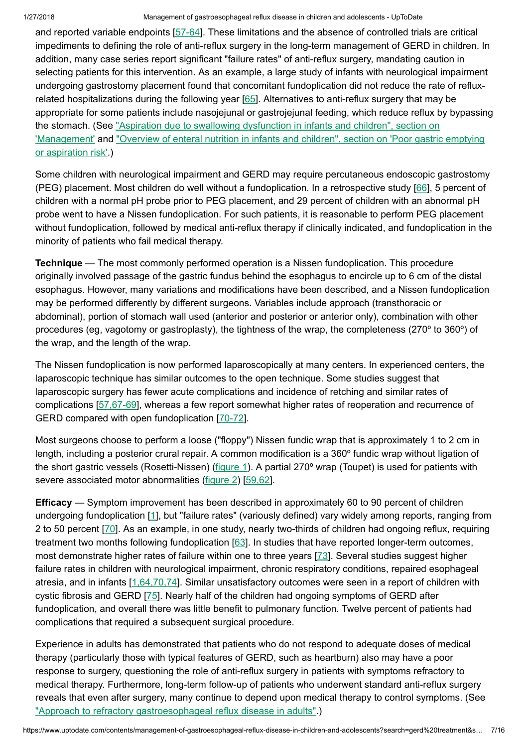#### 1/27/2018 Management of gastroesophageal reflux disease in children and adolescents - UpToDate

and reported variable endpoints [[57-64\]](https://www.uptodate.com/contents/management-of-gastroesophageal-reflux-disease-in-children-and-adolescents/abstract/57-64). These limitations and the absence of controlled trials are critical impediments to defining the role of anti-reflux surgery in the long-term management of GERD in children. In addition, many case series report significant "failure rates" of anti-reflux surgery, mandating caution in selecting patients for this intervention. As an example, a large study of infants with neurological impairment undergoing gastrostomy placement found that concomitant fundoplication did not reduce the rate of reflux-related hospitalizations during the following year [[65\]](https://www.uptodate.com/contents/management-of-gastroesophageal-reflux-disease-in-children-and-adolescents/abstract/65). Alternatives to anti-reflux surgery that may be appropriate for some patients include nasojejunal or gastrojejunal feeding, which reduce reflux by bypassing the stomach. (See "Aspiration due to swallowing dysfunction in infants and children", section on 'Management' and "Overview of [enteral nutrition](https://www.uptodate.com/contents/aspiration-due-to-swallowing-dysfunction-in-infants-and-children?sectionName=MANAGEMENT&anchor=H115018362&source=see_link#H115018362) in infants and children", section on 'Poor gastric emptying or aspiration risk'.)

Some children with neurological impairment and GERD may require percutaneous endoscopic gastrostomy (PEG) placement. Most children do well without a fundoplication. In a retrospective study [\[66](https://www.uptodate.com/contents/management-of-gastroesophageal-reflux-disease-in-children-and-adolescents/abstract/66)], 5 percent of children with a normal pH probe prior to PEG placement, and 29 percent of children with an abnormal pH probe went to have a Nissen fundoplication. For such patients, it is reasonable to perform PEG placement without fundoplication, followed by medical anti-reflux therapy if clinically indicated, and fundoplication in the minority of patients who fail medical therapy.

**Technique** — The most commonly performed operation is a Nissen fundoplication. This procedure originally involved passage of the gastric fundus behind the esophagus to encircle up to 6 cm of the distal esophagus. However, many variations and modifications have been described, and a Nissen fundoplication may be performed differently by different surgeons. Variables include approach (transthoracic or abdominal), portion of stomach wall used (anterior and posterior or anterior only), combination with other procedures (eg, vagotomy or gastroplasty), the tightness of the wrap, the completeness (270º to 360º) of the wrap, and the length of the wrap.

The Nissen fundoplication is now performed laparoscopically at many centers. In experienced centers, the laparoscopic technique has similar outcomes to the open technique. Some studies suggest that laparoscopic surgery has fewer acute complications and incidence of retching and similar rates of complications [[57,67-69\]](https://www.uptodate.com/contents/management-of-gastroesophageal-reflux-disease-in-children-and-adolescents/abstract/57,67-69), whereas a few report somewhat higher rates of reoperation and recurrence of GERD compared with open fundoplication [[70-72](https://www.uptodate.com/contents/management-of-gastroesophageal-reflux-disease-in-children-and-adolescents/abstract/70-72)].

Most surgeons choose to perform a loose ("floppy") Nissen fundic wrap that is approximately 1 to 2 cm in length, including a posterior crural repair. A common modification is a 360º fundic wrap without ligation of the short gastric vessels (Rosetti-Nissen) ([figure](https://www.uptodate.com/contents/image?imageKey=GAST%2F51213&topicKey=PEDS%2F5900&search=gerd+treatment&rank=1%7E150&source=see_link) 1). A partial 270° wrap (Toupet) is used for patients with severe associated motor abnormalities ([figure](https://www.uptodate.com/contents/image?imageKey=GAST%2F78957&topicKey=PEDS%2F5900&search=gerd+treatment&rank=1%7E150&source=see_link) 2) [[59,62](https://www.uptodate.com/contents/management-of-gastroesophageal-reflux-disease-in-children-and-adolescents/abstract/59,62)].

**Efficacy** — Symptom improvement has been described in approximately 60 to 90 percent of children undergoing fundoplication [\[1](https://www.uptodate.com/contents/management-of-gastroesophageal-reflux-disease-in-children-and-adolescents/abstract/1)], but "failure rates" (variously defined) vary widely among reports, ranging from 2 to 50 percent [[70\]](https://www.uptodate.com/contents/management-of-gastroesophageal-reflux-disease-in-children-and-adolescents/abstract/70). As an example, in one study, nearly two-thirds of children had ongoing reflux, requiring treatment two months following fundoplication [[63\]](https://www.uptodate.com/contents/management-of-gastroesophageal-reflux-disease-in-children-and-adolescents/abstract/63). In studies that have reported longer-term outcomes, most demonstrate higher rates of failure within one to three years [[73\]](https://www.uptodate.com/contents/management-of-gastroesophageal-reflux-disease-in-children-and-adolescents/abstract/73). Several studies suggest higher failure rates in children with neurological impairment, chronic respiratory conditions, repaired esophageal atresia, and in infants [\[1,64,70,74](https://www.uptodate.com/contents/management-of-gastroesophageal-reflux-disease-in-children-and-adolescents/abstract/1,64,70,74)]. Similar unsatisfactory outcomes were seen in a report of children with cystic fibrosis and GERD [[75\]](https://www.uptodate.com/contents/management-of-gastroesophageal-reflux-disease-in-children-and-adolescents/abstract/75). Nearly half of the children had ongoing symptoms of GERD after fundoplication, and overall there was little benefit to pulmonary function. Twelve percent of patients had complications that required a subsequent surgical procedure.

Experience in adults has demonstrated that patients who do not respond to adequate doses of medical therapy (particularly those with typical features of GERD, such as heartburn) also may have a poor response to surgery, questioning the role of anti-reflux surgery in patients with symptoms refractory to medical therapy. Furthermore, long-term follow-up of patients who underwent standard anti-reflux surgery reveals that even after surgery, many continue to depend upon medical therapy to control symptoms. (See "Approach to refractory [gastroesophageal reflux](https://www.uptodate.com/contents/approach-to-refractory-gastroesophageal-reflux-disease-in-adults?source=see_link) disease in adults".)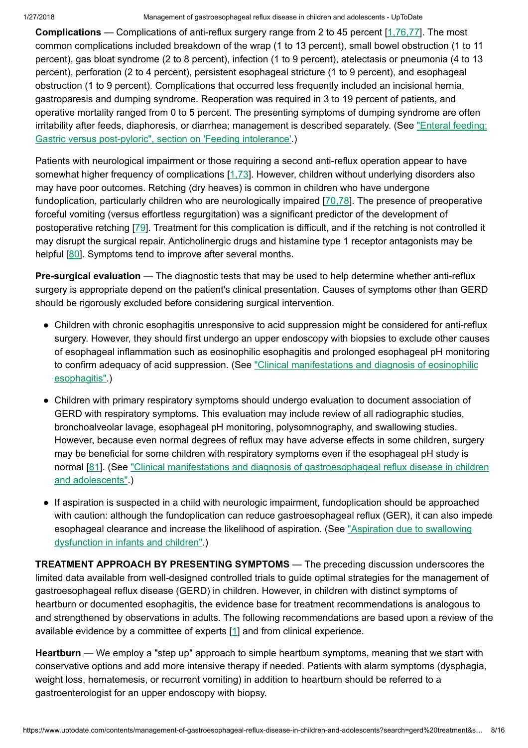**Complications** — Complications of anti-reflux surgery range from 2 to 45 percent  $[1,76,77]$  $[1,76,77]$ . The most common complications included breakdown of the wrap (1 to 13 percent), small bowel obstruction (1 to 11 percent), gas bloat syndrome (2 to 8 percent), infection (1 to 9 percent), atelectasis or pneumonia (4 to 13 percent), perforation (2 to 4 percent), persistent esophageal stricture (1 to 9 percent), and esophageal obstruction (1 to 9 percent). Complications that occurred less frequently included an incisional hernia, gastroparesis and dumping syndrome. Reoperation was required in 3 to 19 percent of patients, and operative mortality ranged from 0 to 5 percent. The presenting symptoms of dumping syndrome are often irritability after feeds, diaphoresis, or diarrhea; management is described separately. (See ["Enteral feeding:](https://www.uptodate.com/contents/enteral-feeding-gastric-versus-post-pyloric?sectionName=Feeding+intolerance&anchor=H18&source=see_link#H18) Gastric versus post-pyloric", section on 'Feeding intolerance'.)

Patients with neurological impairment or those requiring a second anti-reflux operation appear to have somewhat higher frequency of complications [\[1,73](https://www.uptodate.com/contents/management-of-gastroesophageal-reflux-disease-in-children-and-adolescents/abstract/1,73)]. However, children without underlying disorders also may have poor outcomes. Retching (dry heaves) is common in children who have undergone fundoplication, particularly children who are neurologically impaired [[70,78\]](https://www.uptodate.com/contents/management-of-gastroesophageal-reflux-disease-in-children-and-adolescents/abstract/70,78). The presence of preoperative forceful vomiting (versus effortless regurgitation) was a significant predictor of the development of postoperative retching [\[79](https://www.uptodate.com/contents/management-of-gastroesophageal-reflux-disease-in-children-and-adolescents/abstract/79)]. Treatment for this complication is difficult, and if the retching is not controlled it may disrupt the surgical repair. Anticholinergic drugs and histamine type 1 receptor antagonists may be helpful [[80\]](https://www.uptodate.com/contents/management-of-gastroesophageal-reflux-disease-in-children-and-adolescents/abstract/80). Symptoms tend to improve after several months.

Pre-surgical evaluation — The diagnostic tests that may be used to help determine whether anti-reflux surgery is appropriate depend on the patient's clinical presentation. Causes of symptoms other than GERD should be rigorously excluded before considering surgical intervention.

- Children with chronic esophagitis unresponsive to acid suppression might be considered for anti-reflux surgery. However, they should first undergo an upper endoscopy with biopsies to exclude other causes of esophageal inflammation such as eosinophilic esophagitis and prolonged esophageal pH monitoring to confirm adequacy of acid suppression. (See ["Clinical manifestations](https://www.uptodate.com/contents/clinical-manifestations-and-diagnosis-of-eosinophilic-esophagitis?source=see_link) and diagnosis of eosinophilic esophagitis".)
- Children with primary respiratory symptoms should undergo evaluation to document association of GERD with respiratory symptoms. This evaluation may include review of all radiographic studies, bronchoalveolar lavage, esophageal pH monitoring, polysomnography, and swallowing studies. However, because even normal degrees of reflux may have adverse effects in some children, surgery may be beneficial for some children with respiratory symptoms even if the esophageal pH study is normal [\[81](https://www.uptodate.com/contents/management-of-gastroesophageal-reflux-disease-in-children-and-adolescents/abstract/81)]. (See "Clinical manifestations and diagnosis of [gastroesophageal reflux](https://www.uptodate.com/contents/clinical-manifestations-and-diagnosis-of-gastroesophageal-reflux-disease-in-children-and-adolescents?source=see_link) disease in children and adolescents".)
- If aspiration is suspected in a child with neurologic impairment, fundoplication should be approached with caution: although the fundoplication can reduce gastroesophageal reflux (GER), it can also impede [esophageal clearance](https://www.uptodate.com/contents/aspiration-due-to-swallowing-dysfunction-in-infants-and-children?source=see_link) and increase the likelihood of aspiration. (See "Aspiration due to swallowing dysfunction in infants and children".)

TREATMENT APPROACH BY PRESENTING SYMPTOMS — The preceding discussion underscores the limited data available from well-designed controlled trials to guide optimal strategies for the management of gastroesophageal reflux disease (GERD) in children. However, in children with distinct symptoms of heartburn or documented esophagitis, the evidence base for treatment recommendations is analogous to and strengthened by observations in adults. The following recommendations are based upon a review of the available evidence by a committee of experts [[1\]](https://www.uptodate.com/contents/management-of-gastroesophageal-reflux-disease-in-children-and-adolescents/abstract/1) and from clinical experience.

Heartburn — We employ a "step up" approach to simple heartburn symptoms, meaning that we start with conservative options and add more intensive therapy if needed. Patients with alarm symptoms (dysphagia, weight loss, hematemesis, or recurrent vomiting) in addition to heartburn should be referred to a gastroenterologist for an upper endoscopy with biopsy.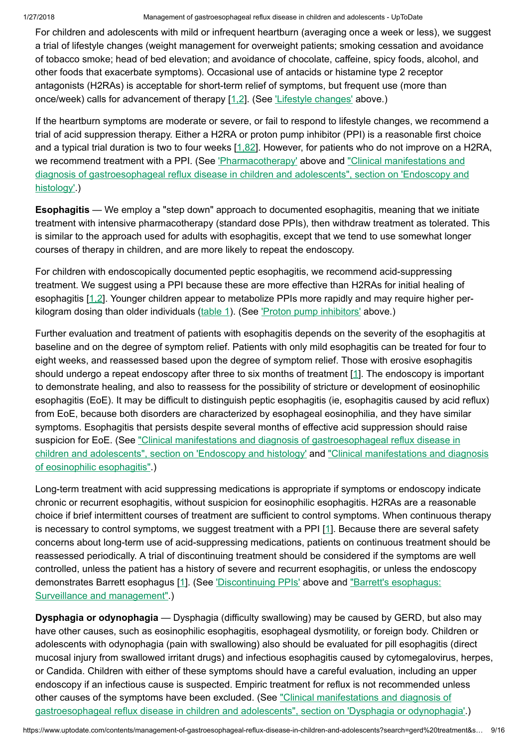For children and adolescents with mild or infrequent heartburn (averaging once a week or less), we suggest a trial of lifestyle changes (weight management for overweight patients; smoking cessation and avoidance of tobacco smoke; head of bed elevation; and avoidance of chocolate, caffeine, spicy foods, alcohol, and other foods that exacerbate symptoms). Occasional use of antacids or histamine type 2 receptor antagonists (H2RAs) is acceptable for short-term relief of symptoms, but frequent use (more than once/week) calls for advancement of therapy [\[1,2](https://www.uptodate.com/contents/management-of-gastroesophageal-reflux-disease-in-children-and-adolescents/abstract/1,2)]. (See 'Lifestyle [changes'](https://www.uptodate.com/contents/management-of-gastroesophageal-reflux-disease-in-children-and-adolescents?search=gerd%20treatment&source=search_result&selectedTitle=1~150&usage_type=default&display_rank=1#H2) above.)

If the heartburn symptoms are moderate or severe, or fail to respond to lifestyle changes, we recommend a trial of acid suppression therapy. Either a H2RA or proton pump inhibitor (PPI) is a reasonable first choice and a typical trial duration is two to four weeks [[1,82\]](https://www.uptodate.com/contents/management-of-gastroesophageal-reflux-disease-in-children-and-adolescents/abstract/1,82). However, for patients who do not improve on a H2RA, we recommend treatment with a PPI. (See ['Pharmacotherapy'](https://www.uptodate.com/contents/management-of-gastroesophageal-reflux-disease-in-children-and-adolescents?search=gerd%20treatment&source=search_result&selectedTitle=1~150&usage_type=default&display_rank=1#H3) above and "Clinical manifestations and diagnosis of [gastroesophageal reflux](https://www.uptodate.com/contents/clinical-manifestations-and-diagnosis-of-gastroesophageal-reflux-disease-in-children-and-adolescents?sectionName=Endoscopy+and+histology&anchor=H9&source=see_link#H9) disease in children and adolescents", section on 'Endoscopy and histology'.)

Esophagitis — We employ a "step down" approach to documented esophagitis, meaning that we initiate treatment with intensive pharmacotherapy (standard dose PPIs), then withdraw treatment as tolerated. This is similar to the approach used for adults with esophagitis, except that we tend to use somewhat longer courses of therapy in children, and are more likely to repeat the endoscopy.

For children with endoscopically documented peptic esophagitis, we recommend acid-suppressing treatment. We suggest using a PPI because these are more effective than H2RAs for initial healing of esophagitis [\[1,2](https://www.uptodate.com/contents/management-of-gastroesophageal-reflux-disease-in-children-and-adolescents/abstract/1,2)]. Younger children appear to metabolize PPIs more rapidly and may require higher perkilogram dosing than older individuals  $(table 1)$  $(table 1)$ . (See 'Proton pump [inhibitors'](https://www.uptodate.com/contents/management-of-gastroesophageal-reflux-disease-in-children-and-adolescents?search=gerd%20treatment&source=search_result&selectedTitle=1~150&usage_type=default&display_rank=1#H4) above.)

Further evaluation and treatment of patients with esophagitis depends on the severity of the esophagitis at baseline and on the degree of symptom relief. Patients with only mild esophagitis can be treated for four to eight weeks, and reassessed based upon the degree of symptom relief. Those with erosive esophagitis should undergo a repeat endoscopy after three to six months of treatment [\[1](https://www.uptodate.com/contents/management-of-gastroesophageal-reflux-disease-in-children-and-adolescents/abstract/1)]. The endoscopy is important to demonstrate healing, and also to reassess for the possibility of stricture or development of eosinophilic esophagitis (EoE). It may be difficult to distinguish peptic esophagitis (ie, esophagitis caused by acid reflux) from EoE, because both disorders are characterized by esophageal eosinophilia, and they have similar symptoms. Esophagitis that persists despite several months of effective acid suppression should raise suspicion for EoE. (See "Clinical manifestations and diagnosis of [gastroesophageal reflux](https://www.uptodate.com/contents/clinical-manifestations-and-diagnosis-of-gastroesophageal-reflux-disease-in-children-and-adolescents?sectionName=Endoscopy+and+histology&anchor=H9&source=see_link#H9) disease in children and adolescents", section on 'Endoscopy and histology' and ["Clinical manifestations](https://www.uptodate.com/contents/clinical-manifestations-and-diagnosis-of-eosinophilic-esophagitis?source=see_link) and diagnosis of eosinophilic esophagitis".)

Long-term treatment with acid suppressing medications is appropriate if symptoms or endoscopy indicate chronic or recurrent esophagitis, without suspicion for eosinophilic esophagitis. H2RAs are a reasonable choice if brief intermittent courses of treatment are sufficient to control symptoms. When continuous therapy is necessary to control symptoms, we suggest treatment with a PPI [[1\]](https://www.uptodate.com/contents/management-of-gastroesophageal-reflux-disease-in-children-and-adolescents/abstract/1). Because there are several safety concerns about long-term use of acid-suppressing medications, patients on continuous treatment should be reassessed periodically. A trial of discontinuing treatment should be considered if the symptoms are well controlled, unless the patient has a history of severe and recurrent esophagitis, or unless the endoscopy demonstrates Barrett esophagus [\[1](https://www.uptodate.com/contents/management-of-gastroesophageal-reflux-disease-in-children-and-adolescents/abstract/1)]. (See ['Discontinuing](https://www.uptodate.com/contents/management-of-gastroesophageal-reflux-disease-in-children-and-adolescents?search=gerd%20treatment&source=search_result&selectedTitle=1~150&usage_type=default&display_rank=1#H406045) PPIs' above and "Barrett's esophagus: Surveillance and [management".\)](https://www.uptodate.com/contents/barretts-esophagus-surveillance-and-management?source=see_link)

Dysphagia or odynophagia — Dysphagia (difficulty swallowing) may be caused by GERD, but also may have other causes, such as eosinophilic esophagitis, esophageal dysmotility, or foreign body. Children or adolescents with odynophagia (pain with swallowing) also should be evaluated for pill esophagitis (direct mucosal injury from swallowed irritant drugs) and infectious esophagitis caused by cytomegalovirus, herpes, or Candida. Children with either of these symptoms should have a careful evaluation, including an upper endoscopy if an infectious cause is suspected. Empiric treatment for reflux is not recommended unless other causes of the symptoms have been excluded. (See "Clinical manifestations and diagnosis of [gastroesophageal reflux](https://www.uptodate.com/contents/clinical-manifestations-and-diagnosis-of-gastroesophageal-reflux-disease-in-children-and-adolescents?sectionName=Dysphagia+or+odynophagia&anchor=H20&source=see_link#H20) disease in children and adolescents", section on 'Dysphagia or odynophagia'.)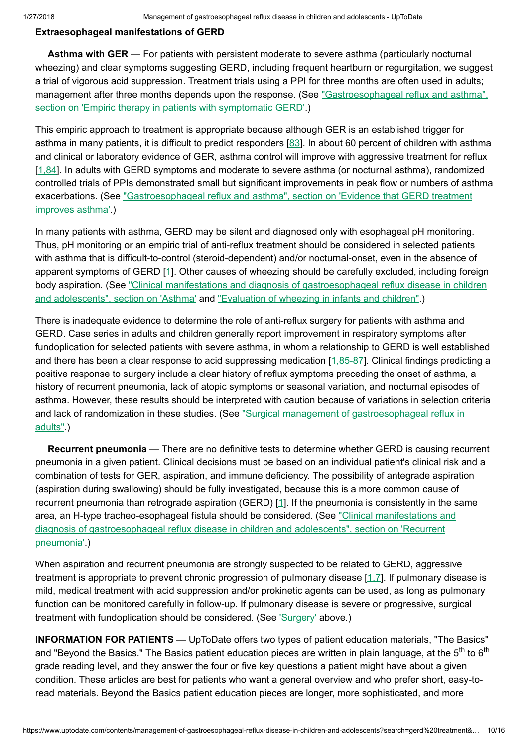### Extraesophageal manifestations of GERD

Asthma with GER — For patients with persistent moderate to severe asthma (particularly nocturnal wheezing) and clear symptoms suggesting GERD, including frequent heartburn or regurgitation, we suggest a trial of vigorous acid suppression. Treatment trials using a PPI for three months are often used in adults; management after three months depends upon the response. (See ["Gastroesophageal reflux](https://www.uptodate.com/contents/gastroesophageal-reflux-and-asthma?sectionName=EMPIRIC+THERAPY+IN+PATIENTS+WITH+SYMPTOMATIC+GERD&anchor=H12&source=see_link#H12) and asthma", section on 'Empiric therapy in patients with symptomatic GERD'.)

This empiric approach to treatment is appropriate because although GER is an established trigger for asthma in many patients, it is difficult to predict responders [\[83](https://www.uptodate.com/contents/management-of-gastroesophageal-reflux-disease-in-children-and-adolescents/abstract/83)]. In about 60 percent of children with asthma and clinical or laboratory evidence of GER, asthma control will improve with aggressive treatment for reflux [[1,84\]](https://www.uptodate.com/contents/management-of-gastroesophageal-reflux-disease-in-children-and-adolescents/abstract/1,84). In adults with GERD symptoms and moderate to severe asthma (or nocturnal asthma), randomized controlled trials of PPIs demonstrated small but significant improvements in peak flow or numbers of asthma exacerbations. (See ["Gastroesophageal reflux](https://www.uptodate.com/contents/gastroesophageal-reflux-and-asthma?sectionName=Evidence+that+GERD+treatment+improves+asthma&anchor=H3749823634&source=see_link#H3749823634) and asthma", section on 'Evidence that GERD treatment improves asthma'.)

In many patients with asthma, GERD may be silent and diagnosed only with esophageal pH monitoring. Thus, pH monitoring or an empiric trial of anti-reflux treatment should be considered in selected patients with asthma that is difficult-to-control (steroid-dependent) and/or nocturnal-onset, even in the absence of apparent symptoms of GERD [[1\]](https://www.uptodate.com/contents/management-of-gastroesophageal-reflux-disease-in-children-and-adolescents/abstract/1). Other causes of wheezing should be carefully excluded, including foreign body aspiration. (See "Clinical manifestations and diagnosis of [gastroesophageal reflux](https://www.uptodate.com/contents/clinical-manifestations-and-diagnosis-of-gastroesophageal-reflux-disease-in-children-and-adolescents?sectionName=Asthma&anchor=H21&source=see_link#H21) disease in children and adolescents", section on 'Asthma' and ["Evaluation](https://www.uptodate.com/contents/evaluation-of-wheezing-in-infants-and-children?source=see_link) of wheezing in infants and children".)

There is inadequate evidence to determine the role of anti-reflux surgery for patients with asthma and GERD. Case series in adults and children generally report improvement in respiratory symptoms after fundoplication for selected patients with severe asthma, in whom a relationship to GERD is well established and there has been a clear response to acid suppressing medication [\[1,85-87](https://www.uptodate.com/contents/management-of-gastroesophageal-reflux-disease-in-children-and-adolescents/abstract/1,85-87)]. Clinical findings predicting a positive response to surgery include a clear history of reflux symptoms preceding the onset of asthma, a history of recurrent pneumonia, lack of atopic symptoms or seasonal variation, and nocturnal episodes of asthma. However, these results should be interpreted with caution because of variations in selection criteria and lack of randomization in these studies. (See "Surgical management of [gastroesophageal reflux](https://www.uptodate.com/contents/surgical-management-of-gastroesophageal-reflux-in-adults?source=see_link) in adults".)

Recurrent pneumonia — There are no definitive tests to determine whether GERD is causing recurrent pneumonia in a given patient. Clinical decisions must be based on an individual patient's clinical risk and a combination of tests for GER, aspiration, and immune deficiency. The possibility of antegrade aspiration (aspiration during swallowing) should be fully investigated, because this is a more common cause of recurrent pneumonia than retrograde aspiration (GERD) [\[1](https://www.uptodate.com/contents/management-of-gastroesophageal-reflux-disease-in-children-and-adolescents/abstract/1)]. If the pneumonia is consistently in the same area, an H-type [tracheo-esophageal fistula](https://www.uptodate.com/contents/clinical-manifestations-and-diagnosis-of-gastroesophageal-reflux-disease-in-children-and-adolescents?sectionName=Recurrent+pneumonia&anchor=H22&source=see_link#H22) should be considered. (See "Clinical manifestations and diagnosis of gastroesophageal reflux disease in children and adolescents", section on 'Recurrent pneumonia'.)

When aspiration and recurrent pneumonia are strongly suspected to be related to GERD, aggressive treatment is appropriate to prevent chronic progression of pulmonary disease [[1,7\]](https://www.uptodate.com/contents/management-of-gastroesophageal-reflux-disease-in-children-and-adolescents/abstract/1,7). If pulmonary disease is mild, medical treatment with acid suppression and/or prokinetic agents can be used, as long as pulmonary function can be monitored carefully in follow-up. If pulmonary disease is severe or progressive, surgical treatment with fundoplication should be considered. (See ['Surgery'](https://www.uptodate.com/contents/management-of-gastroesophageal-reflux-disease-in-children-and-adolescents?search=gerd%20treatment&source=search_result&selectedTitle=1~150&usage_type=default&display_rank=1#H12) above.)

INFORMATION FOR PATIENTS — UpToDate offers two types of patient education materials, "The Basics" and "Beyond the Basics." The Basics patient education pieces are written in plain language, at the 5<sup>th</sup> to 6<sup>th</sup> grade reading level, and they answer the four or five key questions a patient might have about a given condition. These articles are best for patients who want a general overview and who prefer short, easy-toread materials. Beyond the Basics patient education pieces are longer, more sophisticated, and more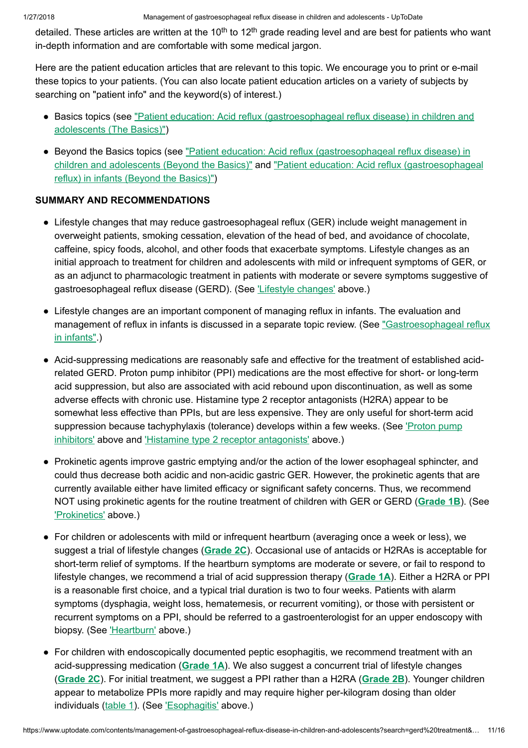detailed. These articles are written at the 10<sup>th</sup> to 12<sup>th</sup> grade reading level and are best for patients who want in-depth information and are comfortable with some medical jargon.

Here are the patient education articles that are relevant to this topic. We encourage you to print or e-mail these topics to your patients. (You can also locate patient education articles on a variety of subjects by searching on "patient info" and the keyword(s) of interest.)

- Basics topics (see "Patient education: Acid reflux [\(gastroesophageal reflux](https://www.uptodate.com/contents/acid-reflux-gastroesophageal-reflux-disease-in-children-and-adolescents-the-basics?source=see_link) disease) in children and adolescents (The Basics)")
- Beyond the Basics topics (see "Patient education: Acid reflux [\(gastroesophageal reflux](https://www.uptodate.com/contents/acid-reflux-gastroesophageal-reflux-disease-in-children-and-adolescents-beyond-the-basics?source=see_link) disease) in children and adolescents (Beyond the Basics)" and "Patient education: Acid reflux [\(gastroesophageal](https://www.uptodate.com/contents/acid-reflux-gastroesophageal-reflux-in-infants-beyond-the-basics?source=see_link) reflux) in infants (Beyond the Basics)")

# SUMMARY AND RECOMMENDATIONS

- Lifestyle changes that may reduce gastroesophageal reflux (GER) include weight management in overweight patients, smoking cessation, elevation of the head of bed, and avoidance of chocolate, caffeine, spicy foods, alcohol, and other foods that exacerbate symptoms. Lifestyle changes as an initial approach to treatment for children and adolescents with mild or infrequent symptoms of GER, or as an adjunct to pharmacologic treatment in patients with moderate or severe symptoms suggestive of gastroesophageal reflux disease (GERD). (See 'Lifestyle [changes'](https://www.uptodate.com/contents/management-of-gastroesophageal-reflux-disease-in-children-and-adolescents?search=gerd%20treatment&source=search_result&selectedTitle=1~150&usage_type=default&display_rank=1#H2) above.)
- Lifestyle changes are an important component of managing reflux in infants. The evaluation and management of reflux in infants is discussed in a separate topic review. (See ["Gastroesophageal reflux](https://www.uptodate.com/contents/gastroesophageal-reflux-in-infants?source=see_link) in infants".)
- Acid-suppressing medications are reasonably safe and effective for the treatment of established acid-● related GERD. Proton pump inhibitor (PPI) medications are the most effective for short- or long-term acid suppression, but also are associated with acid rebound upon discontinuation, as well as some adverse effects with chronic use. Histamine type 2 receptor antagonists (H2RA) appear to be somewhat less effective than PPIs, but are less expensive. They are only useful for short-term acid suppression because [tachyphylaxis](https://www.uptodate.com/contents/management-of-gastroesophageal-reflux-disease-in-children-and-adolescents?search=gerd%20treatment&source=search_result&selectedTitle=1~150&usage_type=default&display_rank=1#H4) (tolerance) develops within a few weeks. (See *Proton pump* inhibitors' above and 'Histamine type 2 receptor [antagonists'](https://www.uptodate.com/contents/management-of-gastroesophageal-reflux-disease-in-children-and-adolescents?search=gerd%20treatment&source=search_result&selectedTitle=1~150&usage_type=default&display_rank=1#H8) above.)
- Prokinetic agents improve gastric emptying and/or the action of the lower esophageal sphincter, and could thus decrease both acidic and non-acidic gastric GER. However, the prokinetic agents that are currently available either have limited efficacy or significant safety concerns. Thus, we recommend NOT using prokinetic agents for the routine treatment of children with GER or GERD ([Grade](https://www.uptodate.com/contents/grade/2?title=Grade%201B&topicKey=PEDS/5900) 1B). (See ['Prokinetics'](https://www.uptodate.com/contents/management-of-gastroesophageal-reflux-disease-in-children-and-adolescents?search=gerd%20treatment&source=search_result&selectedTitle=1~150&usage_type=default&display_rank=1#H10) above.)
- For children or adolescents with mild or infrequent heartburn (averaging once a week or less), we suggest a trial of lifestyle changes ([Grade](https://www.uptodate.com/contents/grade/6?title=Grade%202C&topicKey=PEDS/5900) 2C). Occasional use of antacids or H2RAs is acceptable for short-term relief of symptoms. If the heartburn symptoms are moderate or severe, or fail to respond to lifestyle changes, we recommend a trial of acid suppression therapy ([Grade](https://www.uptodate.com/contents/grade/1?title=Grade%201A&topicKey=PEDS/5900)  $1A$ ). Either a H2RA or PPI is a reasonable first choice, and a typical trial duration is two to four weeks. Patients with alarm symptoms (dysphagia, weight loss, hematemesis, or recurrent vomiting), or those with persistent or recurrent symptoms on a PPI, should be referred to a gastroenterologist for an upper endoscopy with biopsy. (See ['Heartburn'](https://www.uptodate.com/contents/management-of-gastroesophageal-reflux-disease-in-children-and-adolescents?search=gerd%20treatment&source=search_result&selectedTitle=1~150&usage_type=default&display_rank=1#H409213) above.)
- For children with endoscopically documented peptic esophagitis, we recommend treatment with an acid-suppressing medication ( $Grade$   $1A$ ). We also suggest a concurrent trial of lifestyle changes ([Grade](https://www.uptodate.com/contents/grade/5?title=Grade%202B&topicKey=PEDS/5900) 2C). For initial treatment, we suggest a PPI rather than a H2RA (Grade 2B). Younger children appear to metabolize PPIs more rapidly and may require higher per-kilogram dosing than older individuals [\(table](https://www.uptodate.com/contents/image?imageKey=PEDS%2F55435&topicKey=PEDS%2F5900&search=gerd+treatment&rank=1%7E150&source=see_link) 1). (See ['Esophagitis'](https://www.uptodate.com/contents/management-of-gastroesophageal-reflux-disease-in-children-and-adolescents?search=gerd%20treatment&source=search_result&selectedTitle=1~150&usage_type=default&display_rank=1#H409327) above.)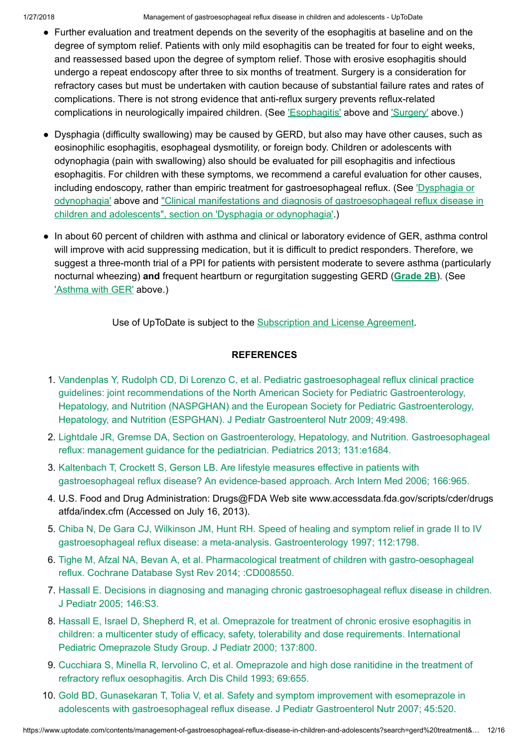- Further evaluation and treatment depends on the severity of the esophagitis at baseline and on the degree of symptom relief. Patients with only mild esophagitis can be treated for four to eight weeks, and reassessed based upon the degree of symptom relief. Those with erosive esophagitis should undergo a repeat endoscopy after three to six months of treatment. Surgery is a consideration for refractory cases but must be undertaken with caution because of substantial failure rates and rates of complications. There is not strong evidence that anti-reflux surgery prevents reflux-related complications in neurologically impaired children. (See ['Esophagitis'](https://www.uptodate.com/contents/management-of-gastroesophageal-reflux-disease-in-children-and-adolescents?search=gerd%20treatment&source=search_result&selectedTitle=1~150&usage_type=default&display_rank=1#H409327) above and ['Surgery'](https://www.uptodate.com/contents/management-of-gastroesophageal-reflux-disease-in-children-and-adolescents?search=gerd%20treatment&source=search_result&selectedTitle=1~150&usage_type=default&display_rank=1#H12) above.)
- Dysphagia (difficulty swallowing) may be caused by GERD, but also may have other causes, such as eosinophilic esophagitis, esophageal dysmotility, or foreign body. Children or adolescents with odynophagia (pain with swallowing) also should be evaluated for pill esophagitis and infectious esophagitis. For children with these symptoms, we recommend a careful evaluation for other causes, including endoscopy, rather than empiric treatment for [gastroesophageal reflux.](https://www.uptodate.com/contents/management-of-gastroesophageal-reflux-disease-in-children-and-adolescents?search=gerd%20treatment&source=search_result&selectedTitle=1~150&usage_type=default&display_rank=1#H409333) (See *Dysphagia or* odynophagia' above and "Clinical manifestations and diagnosis of [gastroesophageal reflux](https://www.uptodate.com/contents/clinical-manifestations-and-diagnosis-of-gastroesophageal-reflux-disease-in-children-and-adolescents?sectionName=Dysphagia+or+odynophagia&anchor=H20&source=see_link#H20) disease in children and adolescents", section on 'Dysphagia or odynophagia'.)
- In about 60 percent of children with asthma and clinical or laboratory evidence of GER, asthma control will improve with acid suppressing medication, but it is difficult to predict responders. Therefore, we suggest a three-month trial of a PPI for patients with persistent moderate to severe asthma (particularly nocturnal wheezing) and frequent heartburn or regurgitation suggesting GERD ([Grade](https://www.uptodate.com/contents/grade/5?title=Grade%202B&topicKey=PEDS/5900) 2B). (See ['Asthma](https://www.uptodate.com/contents/management-of-gastroesophageal-reflux-disease-in-children-and-adolescents?search=gerd%20treatment&source=search_result&selectedTitle=1~150&usage_type=default&display_rank=1#H18) with GER' above.)

Use of UpToDate is subject to the [Subscription](https://www.uptodate.com/legal/license) and License Agreement.

# **REFERENCES**

- 1. Vandenplas Y, Rudolph CD, Di Lorenzo C, et al. Pediatric [gastroesophageal reflux](https://www.uptodate.com/contents/management-of-gastroesophageal-reflux-disease-in-children-and-adolescents/abstract/1) clinical practice guidelines: joint recommendations of the North American Society for Pediatric Gastroenterology, Hepatology, and Nutrition (NASPGHAN) and the European Society for Pediatric Gastroenterology, Hepatology, and Nutrition (ESPGHAN). J Pediatr Gastroenterol Nutr 2009; 49:498.
- 2. Lightdale JR, Gremse DA, Section on Gastroenterology, Hepatology, and Nutrition. [Gastroesophageal](https://www.uptodate.com/contents/management-of-gastroesophageal-reflux-disease-in-children-and-adolescents/abstract/2) reflux: management guidance for the pediatrician. Pediatrics 2013; 131:e1684.
- 3. Kaltenbach T, Crockett S, Gerson LB. Are lifestyle measures effective in patients with [gastroesophageal reflux](https://www.uptodate.com/contents/management-of-gastroesophageal-reflux-disease-in-children-and-adolescents/abstract/3) disease? An evidence-based approach. Arch Intern Med 2006; 166:965.
- 4. U.S. Food and Drug Administration: Drugs@FDA Web site www.accessdata.fda.gov/scripts/cder/drugs atfda/index.cfm (Accessed on July 16, 2013).
- 5. Chiba N, De Gara CJ, Wilkinson JM, Hunt RH. Speed of healing and symptom relief in grade II to IV [gastroesophageal reflux](https://www.uptodate.com/contents/management-of-gastroesophageal-reflux-disease-in-children-and-adolescents/abstract/5) disease: a meta-analysis. Gastroenterology 1997; 112:1798.
- 6. Tighe M, Afzal NA, Bevan A, et al. [Pharmacological treatment](https://www.uptodate.com/contents/management-of-gastroesophageal-reflux-disease-in-children-and-adolescents/abstract/6) of children with gastro-oesophageal reflux. Cochrane Database Syst Rev 2014; :CD008550.
- 7. Hassall E. Decisions in diagnosing and managing chronic [gastroesophageal reflux](https://www.uptodate.com/contents/management-of-gastroesophageal-reflux-disease-in-children-and-adolescents/abstract/7) disease in children. J Pediatr 2005; 146:S3.
- 8. Hassall E, Israel D, Shepherd R, et al. Omeprazole for treatment of chronic erosive esophagitis in children: a multicenter study of efficacy, safety, tolerability and dose [requirements.](https://www.uptodate.com/contents/management-of-gastroesophageal-reflux-disease-in-children-and-adolescents/abstract/8) International Pediatric Omeprazole Study Group. J Pediatr 2000; 137:800.
- 9. Cucchiara S, Minella R, Iervolino C, et al. Omeprazole and high dose ranitidine in the treatment of refractory reflux [oesophagitis.](https://www.uptodate.com/contents/management-of-gastroesophageal-reflux-disease-in-children-and-adolescents/abstract/9) Arch Dis Child 1993; 69:655.
- 10. Gold BD, Gunasekaran T, Tolia V, et al. Safety and symptom improvement with esomeprazole in adolescents with [gastroesophageal reflux](https://www.uptodate.com/contents/management-of-gastroesophageal-reflux-disease-in-children-and-adolescents/abstract/10) disease. J Pediatr Gastroenterol Nutr 2007; 45:520.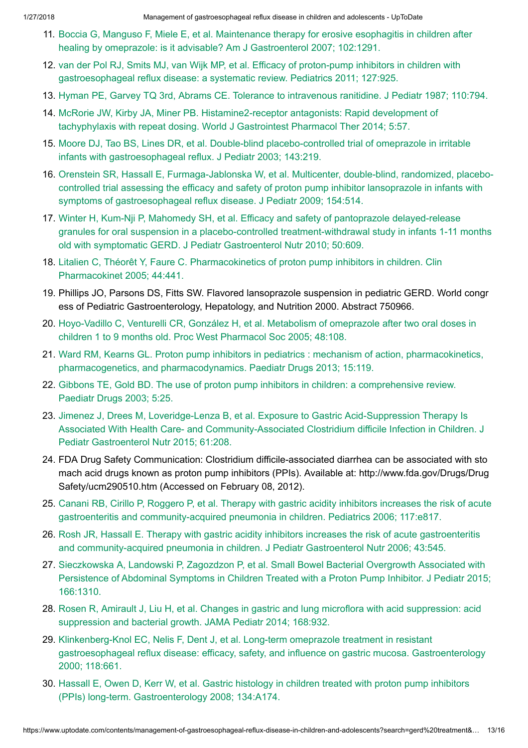- 11. Boccia G, Manguso F, Miele E, et al. Maintenance therapy for erosive esophagitis in children after healing by omeprazole: is it advisable? Am J [Gastroenterol 2007;](https://www.uptodate.com/contents/management-of-gastroesophageal-reflux-disease-in-children-and-adolescents/abstract/11) 102:1291.
- 12. van der Pol RJ, Smits MJ, van Wijk MP, et al. Efficacy of proton-pump inhibitors in children with [gastroesophageal reflux](https://www.uptodate.com/contents/management-of-gastroesophageal-reflux-disease-in-children-and-adolescents/abstract/12) disease: a systematic review. Pediatrics 2011; 127:925.
- 13. Hyman PE, Garvey TQ 3rd, Abrams CE. Tolerance to [intravenous](https://www.uptodate.com/contents/management-of-gastroesophageal-reflux-disease-in-children-and-adolescents/abstract/13) ranitidine. J Pediatr 1987; 110:794.
- 14. McRorie JW, Kirby JA, Miner PB. [Histamine2-receptor](https://www.uptodate.com/contents/management-of-gastroesophageal-reflux-disease-in-children-and-adolescents/abstract/14) antagonists: Rapid development of tachyphylaxis with repeat dosing. World J Gastrointest Pharmacol Ther 2014; 5:57.
- 15. Moore DJ, Tao BS, Lines DR, et al. Double-blind placebo-controlled trial of omeprazole in irritable infants with [gastroesophageal reflux.](https://www.uptodate.com/contents/management-of-gastroesophageal-reflux-disease-in-children-and-adolescents/abstract/15) J Pediatr 2003; 143:219.
- 16. Orenstein SR, Hassall E, Furmaga-Jablonska W, et al. Multicenter, double-blind, randomized, placebocontrolled trial assessing the efficacy and safety of proton pump inhibitor lansoprazole in infants with symptoms of [gastroesophageal reflux](https://www.uptodate.com/contents/management-of-gastroesophageal-reflux-disease-in-children-and-adolescents/abstract/16) disease. J Pediatr 2009; 154:514.
- 17. Winter H, Kum-Nji P, Mahomedy SH, et al. Efficacy and safety of pantoprazole delayed-release granules for oral suspension in a placebo-controlled [treatment-withdrawal study](https://www.uptodate.com/contents/management-of-gastroesophageal-reflux-disease-in-children-and-adolescents/abstract/17) in infants 1-11 months old with symptomatic GERD. J Pediatr Gastroenterol Nutr 2010; 50:609.
- 18. Litalien C, Théorêt Y, Faure C. [Pharmacokinetics](https://www.uptodate.com/contents/management-of-gastroesophageal-reflux-disease-in-children-and-adolescents/abstract/18) of proton pump inhibitors in children. Clin Pharmacokinet 2005; 44:441.
- 19. Phillips JO, Parsons DS, Fitts SW. Flavored lansoprazole suspension in pediatric GERD. World congr ess of Pediatric Gastroenterology, Hepatology, and Nutrition 2000. Abstract 750966.
- 20. Hoyo-Vadillo C, Venturelli CR, González H, et al. Metabolism of omeprazole after two oral doses in children 1 to 9 months old. Proc West [Pharmacol Soc](https://www.uptodate.com/contents/management-of-gastroesophageal-reflux-disease-in-children-and-adolescents/abstract/20) 2005; 48:108.
- 21. Ward RM, Kearns GL. Proton pump inhibitors in pediatrics : mechanism of action, pharmacokinetics, pharmacogenetics, and [pharmacodynamics.](https://www.uptodate.com/contents/management-of-gastroesophageal-reflux-disease-in-children-and-adolescents/abstract/21) Paediatr Drugs 2013; 15:119.
- 22. Gibbons TE, Gold BD. The use of proton pump inhibitors in children: a [comprehensive](https://www.uptodate.com/contents/management-of-gastroesophageal-reflux-disease-in-children-and-adolescents/abstract/22) review. Paediatr Drugs 2003; 5:25.
- 23. Jimenez J, Drees M, Loveridge-Lenza B, et al. Exposure to Gastric Acid-Suppression Therapy Is Associated With Health Care- and [Community-Associated](https://www.uptodate.com/contents/management-of-gastroesophageal-reflux-disease-in-children-and-adolescents/abstract/23) Clostridium difficile Infection in Children. J Pediatr Gastroenterol Nutr 2015; 61:208.
- 24. FDA Drug Safety Communication: Clostridium difficile-associated diarrhea can be associated with sto mach acid drugs known as proton pump inhibitors (PPIs). Available at: http://www.fda.gov/Drugs/Drug Safety/ucm290510.htm (Accessed on February 08, 2012).
- 25. Canani RB, Cirillo P, Roggero P, et al. Therapy with gastric acidity inhibitors increases the risk of acute gastroenteritis and [community-acquired](https://www.uptodate.com/contents/management-of-gastroesophageal-reflux-disease-in-children-and-adolescents/abstract/25) pneumonia in children. Pediatrics 2006; 117:e817.
- 26. Rosh JR, Hassall E. Therapy with gastric acidity inhibitors increases the risk of acute gastroenteritis and [community-acquired](https://www.uptodate.com/contents/management-of-gastroesophageal-reflux-disease-in-children-and-adolescents/abstract/26) pneumonia in children. J Pediatr Gastroenterol Nutr 2006; 43:545.
- 27. Sieczkowska A, Landowski P, Zagozdzon P, et al. [Small Bowel Bacterial Overgrowth](https://www.uptodate.com/contents/management-of-gastroesophageal-reflux-disease-in-children-and-adolescents/abstract/27) Associated with Persistence of Abdominal Symptoms in Children Treated with a Proton Pump Inhibitor. J Pediatr 2015; 166:1310.
- 28. Rosen R, Amirault J, Liu H, et al. Changes in gastric and lung microflora with acid suppression: acid suppression and [bacterial growth.](https://www.uptodate.com/contents/management-of-gastroesophageal-reflux-disease-in-children-and-adolescents/abstract/28) JAMA Pediatr 2014; 168:932.
- 29. Klinkenberg-Knol EC, Nelis F, Dent J, et al. Long-term omeprazole treatment in resistant [gastroesophageal reflux](https://www.uptodate.com/contents/management-of-gastroesophageal-reflux-disease-in-children-and-adolescents/abstract/29) disease: efficacy, safety, and influence on gastric mucosa. Gastroenterology 2000; 118:661.
- 30. Hassall E, Owen D, Kerr W, et al. Gastric histology in children treated with proton pump inhibitors (PPIs) long-term. [Gastroenterology](https://www.uptodate.com/contents/management-of-gastroesophageal-reflux-disease-in-children-and-adolescents/abstract/30) 2008; 134:A174.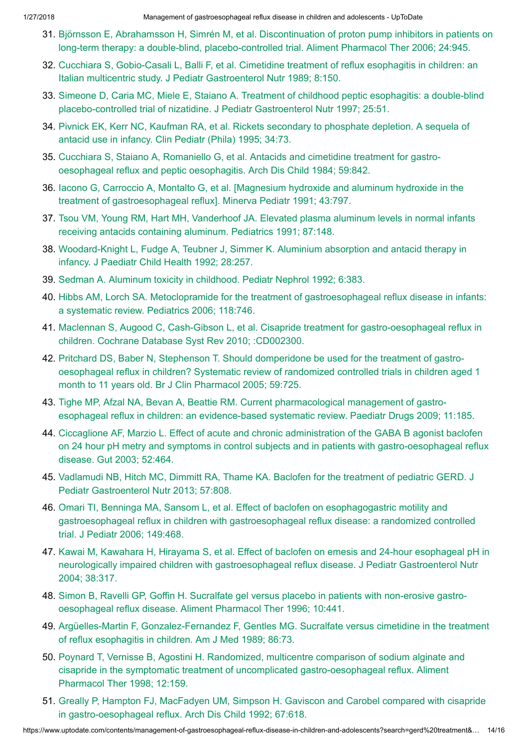- 31. Björnsson E, Abrahamsson H, Simrén M, et al. Discontinuation of proton pump inhibitors in patients on long-term therapy: a double-blind, [placebo-controlled](https://www.uptodate.com/contents/management-of-gastroesophageal-reflux-disease-in-children-and-adolescents/abstract/31) trial. Aliment Pharmacol Ther 2006; 24:945.
- 32. Cucchiara S, Gobio-Casali L, Balli F, et al. Cimetidine treatment of reflux esophagitis in children: an Italian multicentric study. J Pediatr [Gastroenterol Nutr](https://www.uptodate.com/contents/management-of-gastroesophageal-reflux-disease-in-children-and-adolescents/abstract/32) 1989; 8:150.
- 33. Simeone D, Caria MC, Miele E, Staiano A. Treatment of childhood peptic esophagitis: a double-blind placebo-controlled trial of nizatidine. J Pediatr [Gastroenterol Nutr](https://www.uptodate.com/contents/management-of-gastroesophageal-reflux-disease-in-children-and-adolescents/abstract/33) 1997; 25:51.
- 34. Pivnick EK, Kerr NC, Kaufman RA, et al. Rickets secondary to [phosphate](https://www.uptodate.com/contents/management-of-gastroesophageal-reflux-disease-in-children-and-adolescents/abstract/34) depletion. A sequela of antacid use in infancy. Clin Pediatr (Phila) 1995; 34:73.
- 35. Cucchiara S, Staiano A, Romaniello G, et al. Antacids and cimetidine treatment for gastro[oesophageal reflux](https://www.uptodate.com/contents/management-of-gastroesophageal-reflux-disease-in-children-and-adolescents/abstract/35) and peptic oesophagitis. Arch Dis Child 1984; 59:842.
- 36. Iacono G, Carroccio A, Montalto G, et al. [Magnesium hydroxide and aluminum hydroxide in the treatment of [gastroesophageal reflux\].](https://www.uptodate.com/contents/management-of-gastroesophageal-reflux-disease-in-children-and-adolescents/abstract/36) Minerva Pediatr 1991; 43:797.
- 37. Tsou VM, Young RM, Hart MH, Vanderhoof JA. Elevated plasma aluminum levels in [normal infants](https://www.uptodate.com/contents/management-of-gastroesophageal-reflux-disease-in-children-and-adolescents/abstract/37) receiving antacids containing aluminum. Pediatrics 1991; 87:148.
- 38. [Woodard-Knight](https://www.uptodate.com/contents/management-of-gastroesophageal-reflux-disease-in-children-and-adolescents/abstract/38) L, Fudge A, Teubner J, Simmer K. Aluminium absorption and antacid therapy in infancy. J Paediatr Child Health 1992; 28:257.
- 39. Sedman A. Aluminum toxicity in childhood. Pediatr [Nephrol 1992;](https://www.uptodate.com/contents/management-of-gastroesophageal-reflux-disease-in-children-and-adolescents/abstract/39) 6:383.
- 40. Hibbs AM, Lorch SA. Metoclopramide for the treatment of [gastroesophageal reflux](https://www.uptodate.com/contents/management-of-gastroesophageal-reflux-disease-in-children-and-adolescents/abstract/40) disease in infants: a systematic review. Pediatrics 2006; 118:746.
- 41. Maclennan S, Augood C, Cash-Gibson L, et al. Cisapride treatment for [gastro-oesophageal reflux](https://www.uptodate.com/contents/management-of-gastroesophageal-reflux-disease-in-children-and-adolescents/abstract/41) in children. Cochrane Database Syst Rev 2010; :CD002300.
- 42. Pritchard DS, Baber N, Stephenson T. Should domperidone be used for the treatment of gastro[oesophageal reflux](https://www.uptodate.com/contents/management-of-gastroesophageal-reflux-disease-in-children-and-adolescents/abstract/42) in children? Systematic review of randomized controlled trials in children aged 1 month to 11 years old. Br J Clin Pharmacol 2005; 59:725.
- 43. Tighe MP, Afzal NA, Bevan A, Beattie RM. Current [pharmacological management](https://www.uptodate.com/contents/management-of-gastroesophageal-reflux-disease-in-children-and-adolescents/abstract/43) of gastroesophageal reflux in children: an evidence-based systematic review. Paediatr Drugs 2009; 11:185.
- 44. Ciccaglione AF, Marzio L. Effect of acute and chronic administration of the GABA B agonist baclofen on 24 hour pH metry and symptoms in control subjects and in patients with [gastro-oesophageal reflux](https://www.uptodate.com/contents/management-of-gastroesophageal-reflux-disease-in-children-and-adolescents/abstract/44) disease. Gut 2003; 52:464.
- 45. Vadlamudi NB, Hitch MC, Dimmitt RA, Thame KA. Baclofen for the treatment of pediatric GERD. J Pediatr [Gastroenterol Nutr](https://www.uptodate.com/contents/management-of-gastroesophageal-reflux-disease-in-children-and-adolescents/abstract/45) 2013; 57:808.
- 46. Omari TI, Benninga MA, Sansom L, et al. Effect of baclofen on esophagogastric motility and gastroesophageal reflux in children with [gastroesophageal reflux](https://www.uptodate.com/contents/management-of-gastroesophageal-reflux-disease-in-children-and-adolescents/abstract/46) disease: a randomized controlled trial. J Pediatr 2006; 149:468.
- 47. Kawai M, Kawahara H, Hirayama S, et al. Effect of baclofen on emesis and 24-hour esophageal pH in neurologically impaired children with [gastroesophageal reflux](https://www.uptodate.com/contents/management-of-gastroesophageal-reflux-disease-in-children-and-adolescents/abstract/47) disease. J Pediatr Gastroenterol Nutr 2004; 38:317.
- 48. Simon B, Ravelli GP, Goffin H. Sucralfate gel versus placebo in patients with non-erosive gastro[oesophageal reflux](https://www.uptodate.com/contents/management-of-gastroesophageal-reflux-disease-in-children-and-adolescents/abstract/48) disease. Aliment Pharmacol Ther 1996; 10:441.
- 49. Argüelles-Martin F, [Gonzalez-Fernandez](https://www.uptodate.com/contents/management-of-gastroesophageal-reflux-disease-in-children-and-adolescents/abstract/49) F, Gentles MG. Sucralfate versus cimetidine in the treatment of reflux esophagitis in children. Am J Med 1989; 86:73.
- 50. Poynard T, Vernisse B, Agostini H. Randomized, multicentre comparison of sodium alginate and cisapride in the symptomatic treatment of uncomplicated [gastro-oesophageal reflux.](https://www.uptodate.com/contents/management-of-gastroesophageal-reflux-disease-in-children-and-adolescents/abstract/50) Aliment Pharmacol Ther 1998; 12:159.
- 51. Greally P, Hampton FJ, MacFadyen UM, Simpson H. Gaviscon and Carobel compared with cisapride in [gastro-oesophageal reflux.](https://www.uptodate.com/contents/management-of-gastroesophageal-reflux-disease-in-children-and-adolescents/abstract/51) Arch Dis Child 1992; 67:618.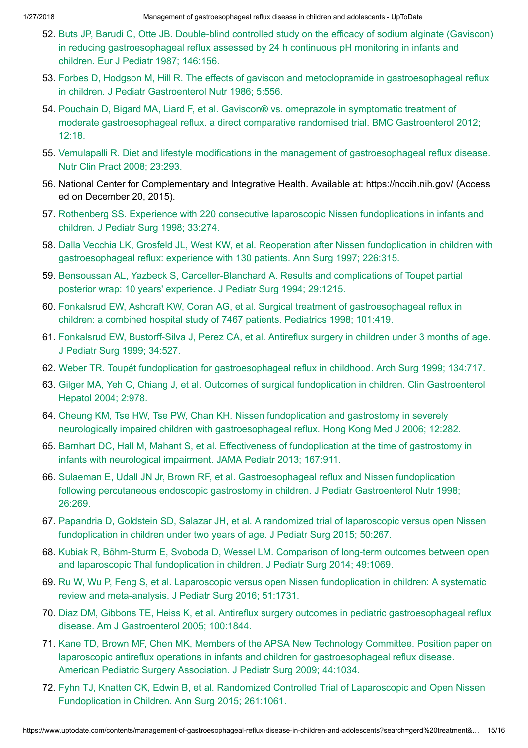- 52. Buts JP, Barudi C, Otte JB. Double-blind controlled study on the efficacy of sodium alginate (Gaviscon) in reducing [gastroesophageal reflux](https://www.uptodate.com/contents/management-of-gastroesophageal-reflux-disease-in-children-and-adolescents/abstract/52) assessed by 24 h continuous pH monitoring in infants and children. Eur J Pediatr 1987; 146:156.
- 53. Forbes D, Hodgson M, Hill R. The effects of gaviscon and metoclopramide in [gastroesophageal reflux](https://www.uptodate.com/contents/management-of-gastroesophageal-reflux-disease-in-children-and-adolescents/abstract/53) in children. J Pediatr Gastroenterol Nutr 1986; 5:556.
- 54. Pouchain D, Bigard MA, Liard F, et al. Gaviscon® vs. omeprazole in symptomatic treatment of moderate [gastroesophageal reflux.](https://www.uptodate.com/contents/management-of-gastroesophageal-reflux-disease-in-children-and-adolescents/abstract/54) a direct comparative randomised trial. BMC Gastroenterol 2012; 12:18.
- 55. Vemulapalli R. Diet and lifestyle modifications in the management of [gastroesophageal reflux](https://www.uptodate.com/contents/management-of-gastroesophageal-reflux-disease-in-children-and-adolescents/abstract/55) disease. Nutr Clin Pract 2008; 23:293.
- 56. National Center for Complementary and Integrative Health. Available at: https://nccih.nih.gov/ (Access ed on December 20, 2015).
- 57. Rothenberg SS. Experience with 220 consecutive laparoscopic Nissen [fundoplications](https://www.uptodate.com/contents/management-of-gastroesophageal-reflux-disease-in-children-and-adolescents/abstract/57) in infants and children. J Pediatr Surg 1998; 33:274.
- 58. Dalla Vecchia LK, Grosfeld JL, West KW, et al. Reoperation after Nissen fundoplication in children with [gastroesophageal reflux:](https://www.uptodate.com/contents/management-of-gastroesophageal-reflux-disease-in-children-and-adolescents/abstract/58) experience with 130 patients. Ann Surg 1997; 226:315.
- 59. Bensoussan AL, Yazbeck S, [Carceller-Blanchard](https://www.uptodate.com/contents/management-of-gastroesophageal-reflux-disease-in-children-and-adolescents/abstract/59) A. Results and complications of Toupet partial posterior wrap: 10 years' experience. J Pediatr Surg 1994; 29:1215.
- 60. Fonkalsrud EW, Ashcraft KW, Coran AG, et al. Surgical treatment of [gastroesophageal reflux](https://www.uptodate.com/contents/management-of-gastroesophageal-reflux-disease-in-children-and-adolescents/abstract/60) in children: a combined hospital study of 7467 patients. Pediatrics 1998; 101:419.
- 61. Fonkalsrud EW, [Bustorff-Silva](https://www.uptodate.com/contents/management-of-gastroesophageal-reflux-disease-in-children-and-adolescents/abstract/61) J, Perez CA, et al. Antireflux surgery in children under 3 months of age. J Pediatr Surg 1999; 34:527.
- 62. Weber TR. Toupét fundoplication for [gastroesophageal reflux](https://www.uptodate.com/contents/management-of-gastroesophageal-reflux-disease-in-children-and-adolescents/abstract/62) in childhood. Arch Surg 1999; 134:717.
- 63. Gilger MA, Yeh C, Chiang J, et al. Outcomes of [surgical fundoplication](https://www.uptodate.com/contents/management-of-gastroesophageal-reflux-disease-in-children-and-adolescents/abstract/63) in children. Clin Gastroenterol Hepatol 2004; 2:978.
- 64. Cheung KM, Tse HW, Tse PW, Chan KH. Nissen fundoplication and gastrostomy in severely neurologically impaired children with [gastroesophageal reflux.](https://www.uptodate.com/contents/management-of-gastroesophageal-reflux-disease-in-children-and-adolescents/abstract/64) Hong Kong Med J 2006; 12:282.
- 65. Barnhart DC, Hall M, Mahant S, et al. Effectiveness of fundoplication at the time of gastrostomy in infants with [neurological impairment.](https://www.uptodate.com/contents/management-of-gastroesophageal-reflux-disease-in-children-and-adolescents/abstract/65) JAMA Pediatr 2013; 167:911.
- 66. Sulaeman E, Udall JN Jr, Brown RF, et al. [Gastroesophageal reflux](https://www.uptodate.com/contents/management-of-gastroesophageal-reflux-disease-in-children-and-adolescents/abstract/66) and Nissen fundoplication following percutaneous endoscopic gastrostomy in children. J Pediatr Gastroenterol Nutr 1998; 26:269.
- 67. Papandria D, Goldstein SD, Salazar JH, et al. A randomized trial of laparoscopic versus open Nissen [fundoplication](https://www.uptodate.com/contents/management-of-gastroesophageal-reflux-disease-in-children-and-adolescents/abstract/67) in children under two years of age. J Pediatr Surg 2015; 50:267.
- 68. Kubiak R, Böhm-Sturm E, Svoboda D, Wessel LM. Comparison of long-term outcomes between open and laparoscopic [Thal fundoplication](https://www.uptodate.com/contents/management-of-gastroesophageal-reflux-disease-in-children-and-adolescents/abstract/68) in children. J Pediatr Surg 2014; 49:1069.
- 69. Ru W, Wu P, Feng S, et al. Laparoscopic versus open Nissen fundoplication in children: A systematic review and [meta-analysis.](https://www.uptodate.com/contents/management-of-gastroesophageal-reflux-disease-in-children-and-adolescents/abstract/69) J Pediatr Surg 2016; 51:1731.
- 70. Diaz DM, Gibbons TE, Heiss K, et al. Antireflux surgery outcomes in pediatric [gastroesophageal reflux](https://www.uptodate.com/contents/management-of-gastroesophageal-reflux-disease-in-children-and-adolescents/abstract/70) disease. Am J Gastroenterol 2005; 100:1844.
- 71. Kane TD, Brown MF, Chen MK, Members of the APSA New Technology Committee. Position paper on laparoscopic antireflux operations in infants and children for [gastroesophageal reflux](https://www.uptodate.com/contents/management-of-gastroesophageal-reflux-disease-in-children-and-adolescents/abstract/71) disease. American Pediatric Surgery Association. J Pediatr Surg 2009; 44:1034.
- 72. Fyhn TJ, Knatten CK, Edwin B, et al. Randomized Controlled Trial of Laparoscopic and Open Nissen [Fundoplication](https://www.uptodate.com/contents/management-of-gastroesophageal-reflux-disease-in-children-and-adolescents/abstract/72) in Children. Ann Surg 2015; 261:1061.